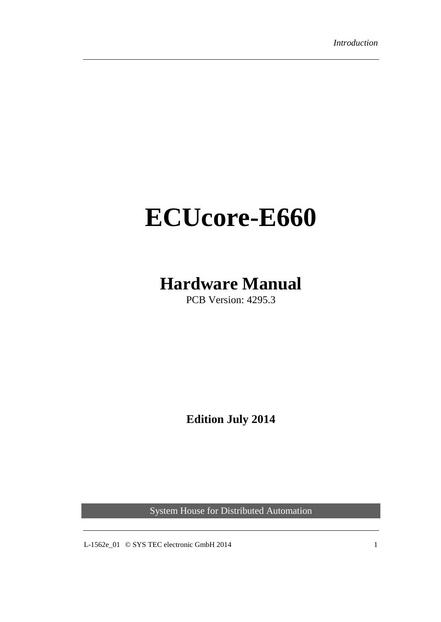# <span id="page-0-0"></span>**ECUcore-E660**

# **Hardware Manual**

PCB Version: 4295.3

**Edition July 2014**

System House for Distributed Automation

L-1562e\_01  $\oslash$  SYS TEC electronic GmbH 2014 1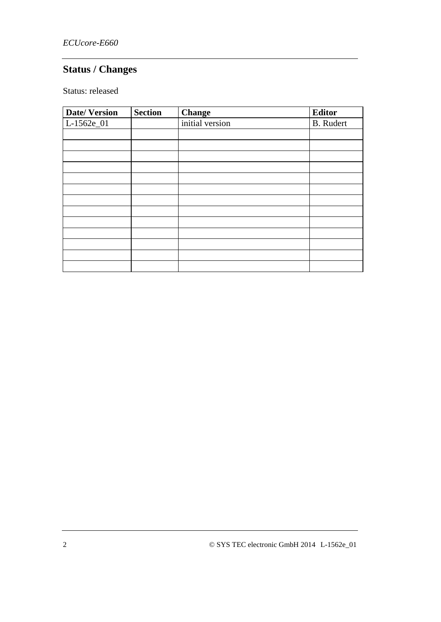# **Status / Changes**

Status: released

| <b>Date/Version</b> | <b>Section</b> | <b>Change</b>   | <b>Editor</b>    |
|---------------------|----------------|-----------------|------------------|
| L-1562e_01          |                | initial version | <b>B.</b> Rudert |
|                     |                |                 |                  |
|                     |                |                 |                  |
|                     |                |                 |                  |
|                     |                |                 |                  |
|                     |                |                 |                  |
|                     |                |                 |                  |
|                     |                |                 |                  |
|                     |                |                 |                  |
|                     |                |                 |                  |
|                     |                |                 |                  |
|                     |                |                 |                  |
|                     |                |                 |                  |
|                     |                |                 |                  |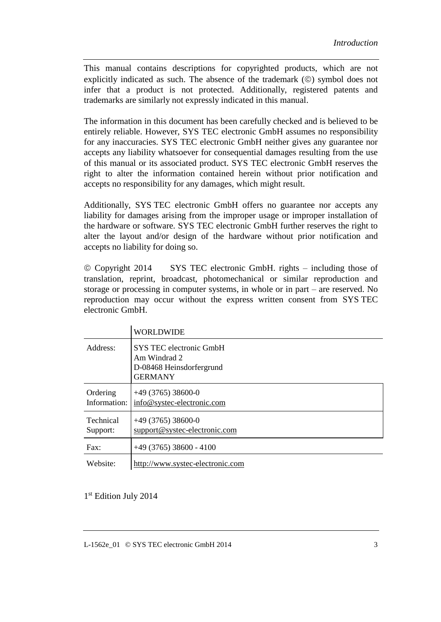This manual contains descriptions for copyrighted products, which are not explicitly indicated as such. The absence of the trademark  $(\circledcirc)$  symbol does not infer that a product is not protected. Additionally, registered patents and trademarks are similarly not expressly indicated in this manual.

The information in this document has been carefully checked and is believed to be entirely reliable. However, SYS TEC electronic GmbH assumes no responsibility for any inaccuracies. SYS TEC electronic GmbH neither gives any guarantee nor accepts any liability whatsoever for consequential damages resulting from the use of this manual or its associated product. SYS TEC electronic GmbH reserves the right to alter the information contained herein without prior notification and accepts no responsibility for any damages, which might result.

Additionally, SYS TEC electronic GmbH offers no guarantee nor accepts any liability for damages arising from the improper usage or improper installation of the hardware or software. SYS TEC electronic GmbH further reserves the right to alter the layout and/or design of the hardware without prior notification and accepts no liability for doing so.

 Copyright 2014 SYS TEC electronic GmbH. rights – including those of translation, reprint, broadcast, photomechanical or similar reproduction and storage or processing in computer systems, in whole or in part – are reserved. No reproduction may occur without the express written consent from SYS TEC electronic GmbH.

|                              | WORLDWIDE                                                                             |
|------------------------------|---------------------------------------------------------------------------------------|
| Address:                     | SYS TEC electronic GmbH<br>Am Windrad 2<br>D-08468 Heinsdorfergrund<br><b>GERMANY</b> |
| Ordering<br>Information:     | $+49(3765)38600-0$<br>info@systec-electronic.com                                      |
| <b>Technical</b><br>Support: | $+49(3765)38600-0$<br>support@systec-electronic.com                                   |
| Fax:                         | $+49(3765)38600 - 4100$                                                               |
| Website:                     | http://www.systec-electronic.com                                                      |

1st Edition July 2014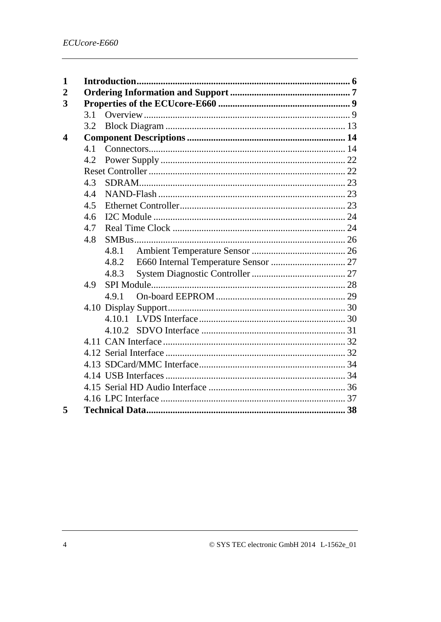| 1                       |     |       |  |
|-------------------------|-----|-------|--|
| $\overline{2}$          |     |       |  |
| 3                       |     |       |  |
|                         | 3.1 |       |  |
|                         | 3.2 |       |  |
| $\overline{\mathbf{4}}$ |     |       |  |
|                         | 4.1 |       |  |
|                         | 4.2 |       |  |
|                         |     |       |  |
|                         | 4.3 |       |  |
|                         | 4.4 |       |  |
|                         | 4.5 |       |  |
|                         | 4.6 |       |  |
|                         | 4.7 |       |  |
|                         | 4.8 |       |  |
|                         |     | 4.8.1 |  |
|                         |     | 4.8.2 |  |
|                         |     | 4.8.3 |  |
|                         | 4.9 |       |  |
|                         |     | 4.9.1 |  |
|                         |     |       |  |
|                         |     |       |  |
|                         |     |       |  |
|                         |     |       |  |
|                         |     |       |  |
|                         |     |       |  |
|                         |     |       |  |
|                         |     |       |  |
|                         |     |       |  |
| 5                       |     |       |  |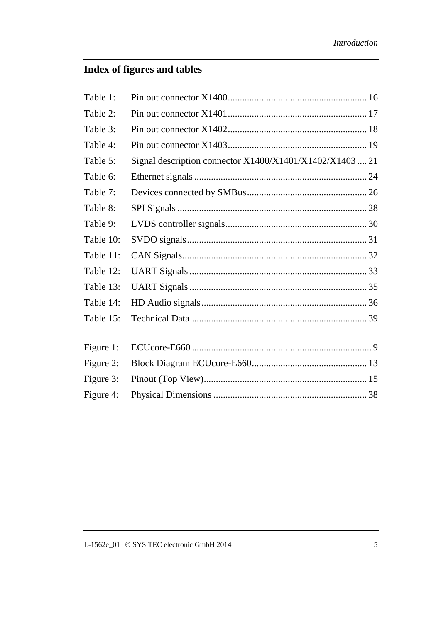# **Index of figures and tables**

| Table 1:  |                                                          |  |
|-----------|----------------------------------------------------------|--|
| Table 2:  |                                                          |  |
| Table 3:  |                                                          |  |
| Table 4:  |                                                          |  |
| Table 5:  | Signal description connector X1400/X1401/X1402/X1403  21 |  |
| Table 6:  |                                                          |  |
| Table 7:  |                                                          |  |
| Table 8:  |                                                          |  |
| Table 9:  |                                                          |  |
| Table 10: |                                                          |  |
| Table 11: |                                                          |  |
| Table 12: |                                                          |  |
| Table 13: |                                                          |  |
| Table 14: |                                                          |  |
| Table 15: |                                                          |  |
| Figure 1: |                                                          |  |
| Figure 2: |                                                          |  |
| Figure 3: |                                                          |  |
| Figure 4: |                                                          |  |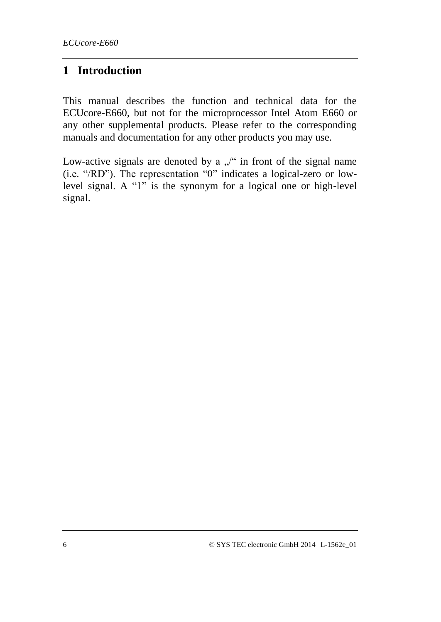# **1 Introduction**

This manual describes the function and technical data for the ECUcore-E660, but not for the microprocessor Intel Atom E660 or any other supplemental products. Please refer to the corresponding manuals and documentation for any other products you may use.

Low-active signals are denoted by a  $\sqrt{ }$  in front of the signal name (i.e. "/RD"). The representation "0" indicates a logical-zero or lowlevel signal. A "1" is the synonym for a logical one or high-level signal.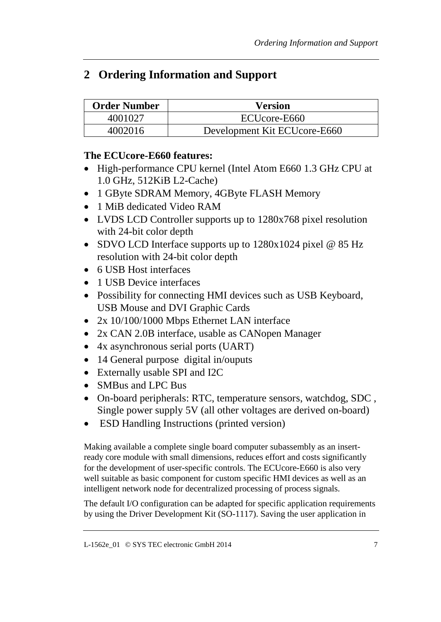# **2 Ordering Information and Support**

| Order Number | <b>Version</b>               |
|--------------|------------------------------|
| 4001027      | ECUcore-E660                 |
| 4002016      | Development Kit ECUcore-E660 |

#### **The ECUcore-E660 features:**

- High-performance CPU kernel (Intel Atom E660 1.3 GHz CPU at 1.0 GHz, 512KiB L2-Cache)
- 1 GByte SDRAM Memory, 4GByte FLASH Memory
- 1 MiB dedicated Video RAM
- LVDS LCD Controller supports up to 1280x768 pixel resolution with 24-bit color depth
- SDVO LCD Interface supports up to 1280x1024 pixel @ 85 Hz resolution with 24-bit color depth
- 6 USB Host interfaces
- 1 USB Device interfaces
- Possibility for connecting HMI devices such as USB Keyboard, USB Mouse and DVI Graphic Cards
- 2x 10/100/1000 Mbps Ethernet LAN interface
- 2x CAN 2.0B interface, usable as CANopen Manager
- 4x asynchronous serial ports (UART)
- 14 General purpose digital in/ouputs
- Externally usable SPI and I2C
- SMBus and LPC Bus
- On-board peripherals: RTC, temperature sensors, watchdog, SDC , Single power supply 5V (all other voltages are derived on-board)
- ESD Handling Instructions (printed version)

Making available a complete single board computer subassembly as an insertready core module with small dimensions, reduces effort and costs significantly for the development of user-specific controls. The ECUcore-E660 is also very well suitable as basic component for custom specific HMI devices as well as an intelligent network node for decentralized processing of process signals.

The default I/O configuration can be adapted for specific application requirements by using the Driver Development Kit (SO-1117). Saving the user application in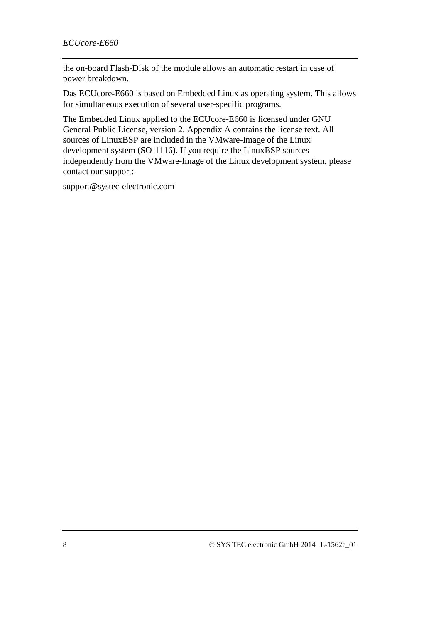the on-board Flash-Disk of the module allows an automatic restart in case of power breakdown.

Das ECUcore-E660 is based on Embedded Linux as operating system. This allows for simultaneous execution of several user-specific programs.

The Embedded Linux applied to the ECUcore-E660 is licensed under GNU General Public License, version 2. Appendix A contains the license text. All sources of LinuxBSP are included in the VMware-Image of the Linux development system (SO-1116). If you require the LinuxBSP sources independently from the VMware-Image of the Linux development system, please contact our support:

[support@systec-electronic.com](../AppData/Roaming/Microsoft/Word/support@systec-electronic.com)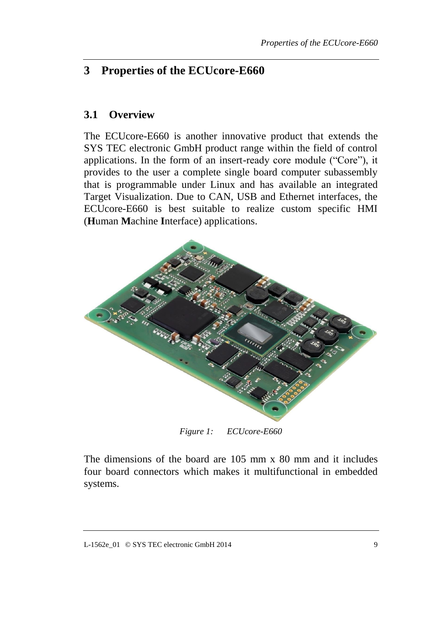# **3 Properties of the ECUcore-E660**

#### **3.1 Overview**

The ECUcore-E660 is another innovative product that extends the SYS TEC electronic GmbH product range within the field of control applications. In the form of an insert-ready core module ("Core"), it provides to the user a complete single board computer subassembly that is programmable under Linux and has available an integrated Target Visualization. Due to CAN, USB and Ethernet interfaces, the ECUcore-E660 is best suitable to realize custom specific HMI (**H**uman **M**achine **I**nterface) applications.



*Figure 1: ECUcore-E660*

The dimensions of the board are 105 mm x 80 mm and it includes four board connectors which makes it multifunctional in embedded systems.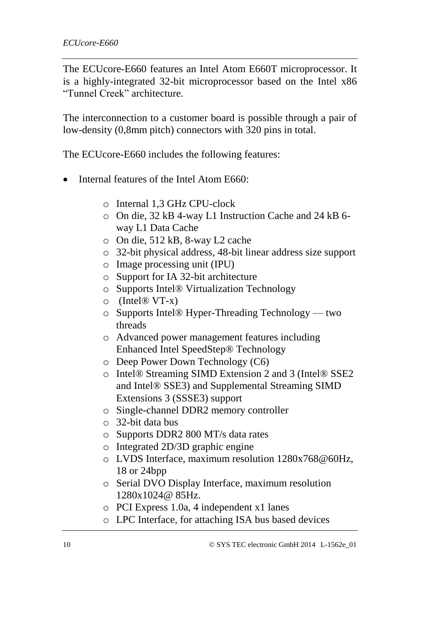The ECUcore-E660 features an Intel Atom E660T microprocessor. It is a highly-integrated 32-bit microprocessor based on the Intel x86 "Tunnel Creek" architecture.

The interconnection to a customer board is possible through a pair of low-density (0,8mm pitch) connectors with 320 pins in total.

The ECUcore-E660 includes the following features:

- Internal features of the Intel Atom E660:
	- o Internal 1,3 GHz CPU-clock
	- o On die, 32 kB 4-way L1 Instruction Cache and 24 kB 6 way L1 Data Cache
	- o On die, 512 kB, 8-way L2 cache
	- o 32-bit physical address, 48-bit linear address size support
	- o Image processing unit (IPU)
	- o Support for IA 32-bit architecture
	- o Supports Intel® Virtualization Technology
	- $\circ$  (Intel® VT-x)
	- o Supports Intel® Hyper-Threading Technology two threads
	- o Advanced power management features including Enhanced Intel SpeedStep® Technology
	- o Deep Power Down Technology (C6)
	- o Intel® Streaming SIMD Extension 2 and 3 (Intel® SSE2 and Intel® SSE3) and Supplemental Streaming SIMD Extensions 3 (SSSE3) support
	- o Single-channel DDR2 memory controller
	- o 32-bit data bus
	- o Supports DDR2 800 MT/s data rates
	- o Integrated 2D/3D graphic engine
	- o LVDS Interface, maximum resolution 1280x768@60Hz, 18 or 24bpp
	- o Serial DVO Display Interface, maximum resolution 1280x1024@ 85Hz.
	- o PCI Express 1.0a, 4 independent x1 lanes
	- o LPC Interface, for attaching ISA bus based devices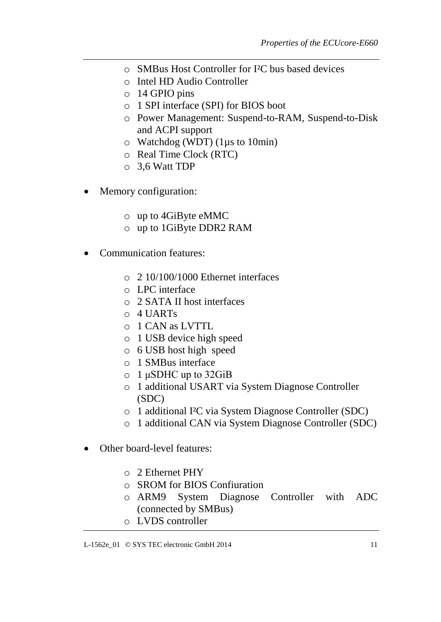- o SMBus Host Controller for I²C bus based devices
- o Intel HD Audio Controller
- o 14 GPIO pins
- o 1 SPI interface (SPI) for BIOS boot
- o Power Management: Suspend-to-RAM, Suspend-to-Disk and ACPI support
- o Watchdog (WDT) (1µs to 10min)
- o Real Time Clock (RTC)
- o 3,6 Watt TDP
- Memory configuration:
	- o up to 4GiByte eMMC
	- o up to 1GiByte DDR2 RAM
- Communication features:
	- o 2 10/100/1000 Ethernet interfaces
	- o LPC interface
	- o 2 SATA II host interfaces
	- o 4 UARTs
	- o 1 CAN as LVTTL
	- o 1 USB device high speed
	- o 6 USB host high speed
	- o 1 SMBus interface
	- o 1 μSDHC up to 32GiB
	- o 1 additional USART via System Diagnose Controller (SDC)
	- o 1 additional I²C via System Diagnose Controller (SDC)
	- o 1 additional CAN via System Diagnose Controller (SDC)
- Other board-level features:
	- o 2 Ethernet PHY
	- o SROM for BIOS Confiuration
	- o ARM9 System Diagnose Controller with ADC (connected by SMBus)
	- o LVDS controller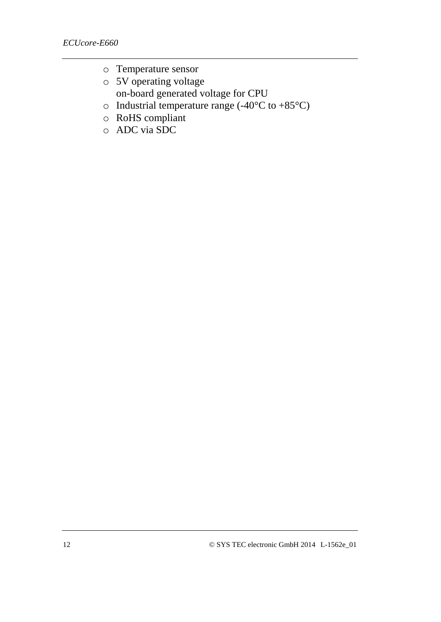- o Temperature sensor
- o 5V operating voltage on-board generated voltage for CPU
- $\circ$  Industrial temperature range (-40°C to +85°C)
- o RoHS compliant
- o ADC via SDC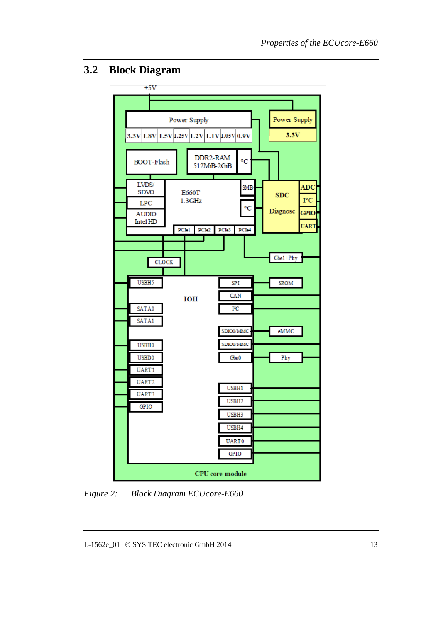# **3.2 Block Diagram**



*Figure 2: Block Diagram ECUcore-E660*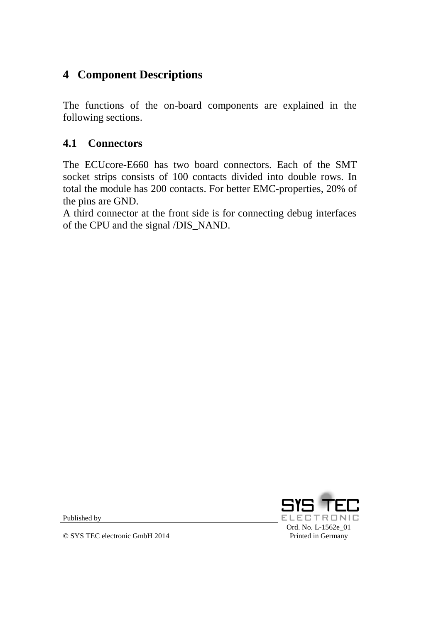# **4 Component Descriptions**

The functions of the on-board components are explained in the following sections.

# **4.1 Connectors**

The ECUcore-E660 has two board connectors. Each of the SMT socket strips consists of 100 contacts divided into double rows. In total the module has 200 contacts. For better EMC-properties, 20% of the pins are GND.

A third connector at the front side is for connecting debug interfaces of the CPU and the signal /DIS\_NAND.



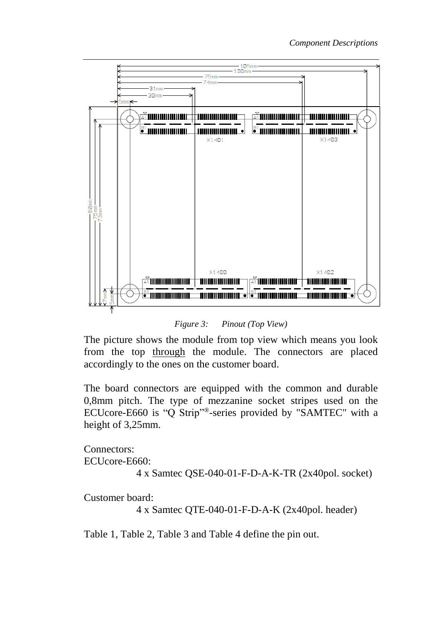

*Figure 3: Pinout (Top View)*

The picture shows the module from top view which means you look from the top through the module. The connectors are placed accordingly to the ones on the customer board.

The board connectors are equipped with the common and durable 0,8mm pitch. The type of mezzanine socket stripes used on the ECUcore-E660 is "Q Strip"®-series provided by "SAMTEC" with a height of 3,25mm.

Connectors: ECUcore-E660:

4 x Samtec QSE-040-01-F-D-A-K-TR (2x40pol. socket)

Customer board:

4 x Samtec QTE-040-01-F-D-A-K (2x40pol. header)

[Table 1,](#page-15-0) [Table 2,](#page-16-0) [Table 3](#page-17-0) and [Table 4](#page-18-0) define the pin out.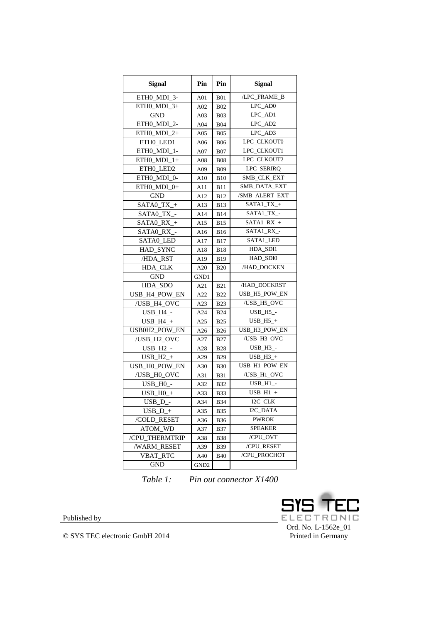| /LPC_FRAME_B<br>ETHO MDI 3-<br>A01<br><b>B01</b><br>LPC_AD0<br>ETHO MDI $3+$<br>A02<br><b>B02</b><br>LPC_AD1<br>GND<br>A <sub>03</sub><br><b>B03</b><br>LPC AD2<br>ETHO MDI 2-<br>A04<br><b>B04</b><br>LPC_AD3<br>ETHO MDI $2+$<br>A05<br><b>B05</b><br>LPC_CLKOUT0<br>ETHO_LED1<br><b>B06</b><br>A06<br>LPC_CLKOUT1<br>ETH0_MDI_1-<br>A07<br><b>B07</b><br>LPC_CLKOUT2<br>ETH0_MDI_1+<br>A08<br><b>B08</b><br>LPC_SERIRQ<br>ETH0_LED2<br>A09<br><b>B09</b><br>SMB_CLK_EXT<br>ETH0_MDI_0-<br>A10<br><b>B</b> 10<br>SMB_DATA_EXT<br>ETH0_MDI_0+<br>A11<br><b>B</b> 11<br>/SMB_ALERT_EXT<br><b>GND</b><br><b>B12</b><br>A12<br>$SATA1_TX_+$<br>$SATA0_TX_+$<br>A13<br><b>B</b> 13<br>SATA1_TX_-<br>SATA0_TX_-<br><b>B14</b><br>A14<br>SATA1_RX_+<br>$SATA0$ $RX_+$<br><b>B15</b><br>A15<br>SATA1_RX_-<br>SATA0 RX -<br><b>B16</b><br>A16<br>SATA1_LED<br>SATA0 LED<br><b>B17</b><br>A17<br>HDA_SDI1<br>HAD_SYNC<br><b>B18</b><br>A18<br>HAD_SDI0<br>/HDA_RST<br>A19<br><b>B</b> 19<br>/HAD_DOCKEN<br>HDA_CLK<br>A20<br><b>B20</b><br><b>GND</b><br>GND1<br>/HAD DOCKRST<br>HDA_SDO<br>A21<br><b>B21</b><br>USB_H5_POW_EN<br>USB_H4_POW_EN<br>A22<br><b>B22</b><br>/USB_H4_OVC<br>/USB_H5_OVC<br><b>B23</b><br>A23<br>$USB_H5$ -<br><b>USB_H4_-</b><br>A24<br><b>B24</b><br>$USB_H5_+$<br>$USB_H4_+$<br>A25<br><b>B25</b><br>USB0H2_POW_EN<br>USB_H3_POW_EN<br>A26<br><b>B26</b><br>/USB_H2_OVC<br>/USB_H3_OVC<br>A27<br><b>B27</b><br>USB_H3_-<br>USB H <sub>2</sub> -<br>A28<br><b>B28</b><br>$USB_H2_+$<br>$USB_H3_+$<br>A29<br><b>B29</b><br>USB_H1_POW_EN<br>USB_H0_POW_EN<br>A30<br><b>B30</b><br>/USB H1 OVC<br>/USB_H0_OVC<br>A31<br><b>B31</b><br>$USB_H1$ -<br>USB_HO_-<br>A32<br><b>B32</b><br>$USB_H1_+$<br>$USB_H0_+$<br>A33<br><b>B33</b><br>I2C CLK<br>$USB_D$ -<br>A34<br><b>B34</b><br>I2C_DATA<br>$USB_D +$<br>A35<br>B35<br><b>PWROK</b><br>/COLD RESET<br>A36<br><b>B36</b><br><b>SPEAKER</b><br>ATOM_WD<br>A37<br><b>B37</b><br>/CPU_OVT<br>/CPU_THERMTRIP<br>A38<br><b>B38</b><br>/CPU_RESET<br><b>/WARM RESET</b><br>A39<br><b>B39</b> | <b>Signal</b> | Pin | Pin | <b>Signal</b> |  |
|------------------------------------------------------------------------------------------------------------------------------------------------------------------------------------------------------------------------------------------------------------------------------------------------------------------------------------------------------------------------------------------------------------------------------------------------------------------------------------------------------------------------------------------------------------------------------------------------------------------------------------------------------------------------------------------------------------------------------------------------------------------------------------------------------------------------------------------------------------------------------------------------------------------------------------------------------------------------------------------------------------------------------------------------------------------------------------------------------------------------------------------------------------------------------------------------------------------------------------------------------------------------------------------------------------------------------------------------------------------------------------------------------------------------------------------------------------------------------------------------------------------------------------------------------------------------------------------------------------------------------------------------------------------------------------------------------------------------------------------------------------------------------------------------------------------------------------------------------------------------------------------------------------------------------------------------------------------------------------------------------------------------------------------------------------|---------------|-----|-----|---------------|--|
|                                                                                                                                                                                                                                                                                                                                                                                                                                                                                                                                                                                                                                                                                                                                                                                                                                                                                                                                                                                                                                                                                                                                                                                                                                                                                                                                                                                                                                                                                                                                                                                                                                                                                                                                                                                                                                                                                                                                                                                                                                                            |               |     |     |               |  |
|                                                                                                                                                                                                                                                                                                                                                                                                                                                                                                                                                                                                                                                                                                                                                                                                                                                                                                                                                                                                                                                                                                                                                                                                                                                                                                                                                                                                                                                                                                                                                                                                                                                                                                                                                                                                                                                                                                                                                                                                                                                            |               |     |     |               |  |
|                                                                                                                                                                                                                                                                                                                                                                                                                                                                                                                                                                                                                                                                                                                                                                                                                                                                                                                                                                                                                                                                                                                                                                                                                                                                                                                                                                                                                                                                                                                                                                                                                                                                                                                                                                                                                                                                                                                                                                                                                                                            |               |     |     |               |  |
|                                                                                                                                                                                                                                                                                                                                                                                                                                                                                                                                                                                                                                                                                                                                                                                                                                                                                                                                                                                                                                                                                                                                                                                                                                                                                                                                                                                                                                                                                                                                                                                                                                                                                                                                                                                                                                                                                                                                                                                                                                                            |               |     |     |               |  |
|                                                                                                                                                                                                                                                                                                                                                                                                                                                                                                                                                                                                                                                                                                                                                                                                                                                                                                                                                                                                                                                                                                                                                                                                                                                                                                                                                                                                                                                                                                                                                                                                                                                                                                                                                                                                                                                                                                                                                                                                                                                            |               |     |     |               |  |
|                                                                                                                                                                                                                                                                                                                                                                                                                                                                                                                                                                                                                                                                                                                                                                                                                                                                                                                                                                                                                                                                                                                                                                                                                                                                                                                                                                                                                                                                                                                                                                                                                                                                                                                                                                                                                                                                                                                                                                                                                                                            |               |     |     |               |  |
|                                                                                                                                                                                                                                                                                                                                                                                                                                                                                                                                                                                                                                                                                                                                                                                                                                                                                                                                                                                                                                                                                                                                                                                                                                                                                                                                                                                                                                                                                                                                                                                                                                                                                                                                                                                                                                                                                                                                                                                                                                                            |               |     |     |               |  |
|                                                                                                                                                                                                                                                                                                                                                                                                                                                                                                                                                                                                                                                                                                                                                                                                                                                                                                                                                                                                                                                                                                                                                                                                                                                                                                                                                                                                                                                                                                                                                                                                                                                                                                                                                                                                                                                                                                                                                                                                                                                            |               |     |     |               |  |
|                                                                                                                                                                                                                                                                                                                                                                                                                                                                                                                                                                                                                                                                                                                                                                                                                                                                                                                                                                                                                                                                                                                                                                                                                                                                                                                                                                                                                                                                                                                                                                                                                                                                                                                                                                                                                                                                                                                                                                                                                                                            |               |     |     |               |  |
|                                                                                                                                                                                                                                                                                                                                                                                                                                                                                                                                                                                                                                                                                                                                                                                                                                                                                                                                                                                                                                                                                                                                                                                                                                                                                                                                                                                                                                                                                                                                                                                                                                                                                                                                                                                                                                                                                                                                                                                                                                                            |               |     |     |               |  |
|                                                                                                                                                                                                                                                                                                                                                                                                                                                                                                                                                                                                                                                                                                                                                                                                                                                                                                                                                                                                                                                                                                                                                                                                                                                                                                                                                                                                                                                                                                                                                                                                                                                                                                                                                                                                                                                                                                                                                                                                                                                            |               |     |     |               |  |
|                                                                                                                                                                                                                                                                                                                                                                                                                                                                                                                                                                                                                                                                                                                                                                                                                                                                                                                                                                                                                                                                                                                                                                                                                                                                                                                                                                                                                                                                                                                                                                                                                                                                                                                                                                                                                                                                                                                                                                                                                                                            |               |     |     |               |  |
|                                                                                                                                                                                                                                                                                                                                                                                                                                                                                                                                                                                                                                                                                                                                                                                                                                                                                                                                                                                                                                                                                                                                                                                                                                                                                                                                                                                                                                                                                                                                                                                                                                                                                                                                                                                                                                                                                                                                                                                                                                                            |               |     |     |               |  |
|                                                                                                                                                                                                                                                                                                                                                                                                                                                                                                                                                                                                                                                                                                                                                                                                                                                                                                                                                                                                                                                                                                                                                                                                                                                                                                                                                                                                                                                                                                                                                                                                                                                                                                                                                                                                                                                                                                                                                                                                                                                            |               |     |     |               |  |
|                                                                                                                                                                                                                                                                                                                                                                                                                                                                                                                                                                                                                                                                                                                                                                                                                                                                                                                                                                                                                                                                                                                                                                                                                                                                                                                                                                                                                                                                                                                                                                                                                                                                                                                                                                                                                                                                                                                                                                                                                                                            |               |     |     |               |  |
|                                                                                                                                                                                                                                                                                                                                                                                                                                                                                                                                                                                                                                                                                                                                                                                                                                                                                                                                                                                                                                                                                                                                                                                                                                                                                                                                                                                                                                                                                                                                                                                                                                                                                                                                                                                                                                                                                                                                                                                                                                                            |               |     |     |               |  |
|                                                                                                                                                                                                                                                                                                                                                                                                                                                                                                                                                                                                                                                                                                                                                                                                                                                                                                                                                                                                                                                                                                                                                                                                                                                                                                                                                                                                                                                                                                                                                                                                                                                                                                                                                                                                                                                                                                                                                                                                                                                            |               |     |     |               |  |
|                                                                                                                                                                                                                                                                                                                                                                                                                                                                                                                                                                                                                                                                                                                                                                                                                                                                                                                                                                                                                                                                                                                                                                                                                                                                                                                                                                                                                                                                                                                                                                                                                                                                                                                                                                                                                                                                                                                                                                                                                                                            |               |     |     |               |  |
|                                                                                                                                                                                                                                                                                                                                                                                                                                                                                                                                                                                                                                                                                                                                                                                                                                                                                                                                                                                                                                                                                                                                                                                                                                                                                                                                                                                                                                                                                                                                                                                                                                                                                                                                                                                                                                                                                                                                                                                                                                                            |               |     |     |               |  |
|                                                                                                                                                                                                                                                                                                                                                                                                                                                                                                                                                                                                                                                                                                                                                                                                                                                                                                                                                                                                                                                                                                                                                                                                                                                                                                                                                                                                                                                                                                                                                                                                                                                                                                                                                                                                                                                                                                                                                                                                                                                            |               |     |     |               |  |
|                                                                                                                                                                                                                                                                                                                                                                                                                                                                                                                                                                                                                                                                                                                                                                                                                                                                                                                                                                                                                                                                                                                                                                                                                                                                                                                                                                                                                                                                                                                                                                                                                                                                                                                                                                                                                                                                                                                                                                                                                                                            |               |     |     |               |  |
|                                                                                                                                                                                                                                                                                                                                                                                                                                                                                                                                                                                                                                                                                                                                                                                                                                                                                                                                                                                                                                                                                                                                                                                                                                                                                                                                                                                                                                                                                                                                                                                                                                                                                                                                                                                                                                                                                                                                                                                                                                                            |               |     |     |               |  |
|                                                                                                                                                                                                                                                                                                                                                                                                                                                                                                                                                                                                                                                                                                                                                                                                                                                                                                                                                                                                                                                                                                                                                                                                                                                                                                                                                                                                                                                                                                                                                                                                                                                                                                                                                                                                                                                                                                                                                                                                                                                            |               |     |     |               |  |
|                                                                                                                                                                                                                                                                                                                                                                                                                                                                                                                                                                                                                                                                                                                                                                                                                                                                                                                                                                                                                                                                                                                                                                                                                                                                                                                                                                                                                                                                                                                                                                                                                                                                                                                                                                                                                                                                                                                                                                                                                                                            |               |     |     |               |  |
|                                                                                                                                                                                                                                                                                                                                                                                                                                                                                                                                                                                                                                                                                                                                                                                                                                                                                                                                                                                                                                                                                                                                                                                                                                                                                                                                                                                                                                                                                                                                                                                                                                                                                                                                                                                                                                                                                                                                                                                                                                                            |               |     |     |               |  |
|                                                                                                                                                                                                                                                                                                                                                                                                                                                                                                                                                                                                                                                                                                                                                                                                                                                                                                                                                                                                                                                                                                                                                                                                                                                                                                                                                                                                                                                                                                                                                                                                                                                                                                                                                                                                                                                                                                                                                                                                                                                            |               |     |     |               |  |
|                                                                                                                                                                                                                                                                                                                                                                                                                                                                                                                                                                                                                                                                                                                                                                                                                                                                                                                                                                                                                                                                                                                                                                                                                                                                                                                                                                                                                                                                                                                                                                                                                                                                                                                                                                                                                                                                                                                                                                                                                                                            |               |     |     |               |  |
|                                                                                                                                                                                                                                                                                                                                                                                                                                                                                                                                                                                                                                                                                                                                                                                                                                                                                                                                                                                                                                                                                                                                                                                                                                                                                                                                                                                                                                                                                                                                                                                                                                                                                                                                                                                                                                                                                                                                                                                                                                                            |               |     |     |               |  |
|                                                                                                                                                                                                                                                                                                                                                                                                                                                                                                                                                                                                                                                                                                                                                                                                                                                                                                                                                                                                                                                                                                                                                                                                                                                                                                                                                                                                                                                                                                                                                                                                                                                                                                                                                                                                                                                                                                                                                                                                                                                            |               |     |     |               |  |
|                                                                                                                                                                                                                                                                                                                                                                                                                                                                                                                                                                                                                                                                                                                                                                                                                                                                                                                                                                                                                                                                                                                                                                                                                                                                                                                                                                                                                                                                                                                                                                                                                                                                                                                                                                                                                                                                                                                                                                                                                                                            |               |     |     |               |  |
|                                                                                                                                                                                                                                                                                                                                                                                                                                                                                                                                                                                                                                                                                                                                                                                                                                                                                                                                                                                                                                                                                                                                                                                                                                                                                                                                                                                                                                                                                                                                                                                                                                                                                                                                                                                                                                                                                                                                                                                                                                                            |               |     |     |               |  |
|                                                                                                                                                                                                                                                                                                                                                                                                                                                                                                                                                                                                                                                                                                                                                                                                                                                                                                                                                                                                                                                                                                                                                                                                                                                                                                                                                                                                                                                                                                                                                                                                                                                                                                                                                                                                                                                                                                                                                                                                                                                            |               |     |     |               |  |
|                                                                                                                                                                                                                                                                                                                                                                                                                                                                                                                                                                                                                                                                                                                                                                                                                                                                                                                                                                                                                                                                                                                                                                                                                                                                                                                                                                                                                                                                                                                                                                                                                                                                                                                                                                                                                                                                                                                                                                                                                                                            |               |     |     |               |  |
|                                                                                                                                                                                                                                                                                                                                                                                                                                                                                                                                                                                                                                                                                                                                                                                                                                                                                                                                                                                                                                                                                                                                                                                                                                                                                                                                                                                                                                                                                                                                                                                                                                                                                                                                                                                                                                                                                                                                                                                                                                                            |               |     |     |               |  |
|                                                                                                                                                                                                                                                                                                                                                                                                                                                                                                                                                                                                                                                                                                                                                                                                                                                                                                                                                                                                                                                                                                                                                                                                                                                                                                                                                                                                                                                                                                                                                                                                                                                                                                                                                                                                                                                                                                                                                                                                                                                            |               |     |     |               |  |
|                                                                                                                                                                                                                                                                                                                                                                                                                                                                                                                                                                                                                                                                                                                                                                                                                                                                                                                                                                                                                                                                                                                                                                                                                                                                                                                                                                                                                                                                                                                                                                                                                                                                                                                                                                                                                                                                                                                                                                                                                                                            |               |     |     |               |  |
|                                                                                                                                                                                                                                                                                                                                                                                                                                                                                                                                                                                                                                                                                                                                                                                                                                                                                                                                                                                                                                                                                                                                                                                                                                                                                                                                                                                                                                                                                                                                                                                                                                                                                                                                                                                                                                                                                                                                                                                                                                                            |               |     |     |               |  |
|                                                                                                                                                                                                                                                                                                                                                                                                                                                                                                                                                                                                                                                                                                                                                                                                                                                                                                                                                                                                                                                                                                                                                                                                                                                                                                                                                                                                                                                                                                                                                                                                                                                                                                                                                                                                                                                                                                                                                                                                                                                            |               |     |     |               |  |
|                                                                                                                                                                                                                                                                                                                                                                                                                                                                                                                                                                                                                                                                                                                                                                                                                                                                                                                                                                                                                                                                                                                                                                                                                                                                                                                                                                                                                                                                                                                                                                                                                                                                                                                                                                                                                                                                                                                                                                                                                                                            |               |     |     |               |  |
|                                                                                                                                                                                                                                                                                                                                                                                                                                                                                                                                                                                                                                                                                                                                                                                                                                                                                                                                                                                                                                                                                                                                                                                                                                                                                                                                                                                                                                                                                                                                                                                                                                                                                                                                                                                                                                                                                                                                                                                                                                                            |               |     |     |               |  |
|                                                                                                                                                                                                                                                                                                                                                                                                                                                                                                                                                                                                                                                                                                                                                                                                                                                                                                                                                                                                                                                                                                                                                                                                                                                                                                                                                                                                                                                                                                                                                                                                                                                                                                                                                                                                                                                                                                                                                                                                                                                            |               |     |     |               |  |
| <b>VBAT_RTC</b><br>/CPU PROCHOT<br>A40<br><b>B</b> 40                                                                                                                                                                                                                                                                                                                                                                                                                                                                                                                                                                                                                                                                                                                                                                                                                                                                                                                                                                                                                                                                                                                                                                                                                                                                                                                                                                                                                                                                                                                                                                                                                                                                                                                                                                                                                                                                                                                                                                                                      |               |     |     |               |  |
| <b>GND</b><br>GND2                                                                                                                                                                                                                                                                                                                                                                                                                                                                                                                                                                                                                                                                                                                                                                                                                                                                                                                                                                                                                                                                                                                                                                                                                                                                                                                                                                                                                                                                                                                                                                                                                                                                                                                                                                                                                                                                                                                                                                                                                                         |               |     |     |               |  |

*Table 1: Pin out connector X1400*

<span id="page-15-0"></span>Published by

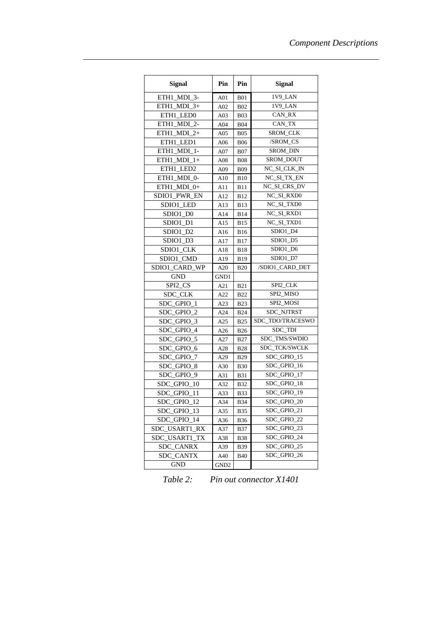| <b>Signal</b>           | Pin              | Pin         | <b>Signal</b>    |  |
|-------------------------|------------------|-------------|------------------|--|
| ETH1 MDI 3-             | A01              | <b>B01</b>  | 1V9 LAN          |  |
| ETH1_MDI_3+             | A02              | <b>B02</b>  | 1V9 LAN          |  |
| ETH1 LED0               | A <sub>03</sub>  | <b>B03</b>  | CAN_RX           |  |
| ETH1 MDI 2-             | A04              | <b>B04</b>  | CAN TX           |  |
| ETH1 MDI $2+$           | A05              | <b>B05</b>  | SROM_CLK         |  |
| ETH1 LED1               | A06              | <b>B06</b>  | /SROM_CS         |  |
| ETH1_MDI_1-             | A07              | <b>B07</b>  | SROM_DIN         |  |
| ETH1 MDI 1+             | A08              | <b>B08</b>  | SROM DOUT        |  |
| ETH1 LED2               | A09              | <b>B09</b>  | NC_SI_CLK_IN     |  |
| ETH1 MDI 0-             | A10              | <b>B10</b>  | NC_SI_TX_EN      |  |
| ETH1_MDI_0+             | A11              | <b>B11</b>  | NC_SI_CRS_DV     |  |
| SDIO1 PWR EN            | A12              | <b>B12</b>  | NC_SI_RXD0       |  |
| SDIO1_LED               | A13              | <b>B13</b>  | NC_SI_TXD0       |  |
| SDIO1_D0                | A14              | <b>B14</b>  | NC_SI_RXD1       |  |
| SDIO1_D1                | A15              | <b>B15</b>  | NC SI TXD1       |  |
| SDIO1_D2                | A16              | <b>B</b> 16 | SDIO1 D4         |  |
| SDIO1_D3                | A17              | <b>B17</b>  | SDIO1_D5         |  |
| SDIO1_CLK               | A18              | <b>B18</b>  | SDIO1_D6         |  |
| SDIO1 CMD               | A19              | <b>B19</b>  | SDIO1_D7         |  |
| SDIO1_CARD<br><b>WP</b> | A20              | <b>B20</b>  | /SDIO1 CARD DET  |  |
| <b>GND</b>              | GND1             |             |                  |  |
| SPI2_CS                 | A21              | <b>B21</b>  | SPI2 CLK         |  |
| SDC_CLK                 | A22              | <b>B22</b>  | SPI2_MISO        |  |
| SDC_GPIO_1              | A23              | <b>B23</b>  | SPI2_MOSI        |  |
| SDC_GPIO_2              | A24              | <b>B24</b>  | SDC_NJTRST       |  |
| SDC GPIO 3              | A25              | <b>B25</b>  | SDC_TDO/TRACESWO |  |
| SDC GPIO 4              | A26              | <b>B26</b>  | SDC_TDI          |  |
| SDC GPIO 5              | A27              | <b>B27</b>  | SDC_TMS/SWDIO    |  |
| SDC GPIO 6              | A28              | <b>B28</b>  | SDC_TCK/SWCLK    |  |
| SDC_GPIO_7              | A29              | <b>B29</b>  | SDC_GPIO_15      |  |
| SDC GPIO 8              | A30              | <b>B30</b>  | SDC GPIO 16      |  |
| SDC_GPIO_9              | A31              | <b>B31</b>  | SDC_GPIO_17      |  |
| SDC_GPIO_10             | A32              | <b>B32</b>  | SDC GPIO 18      |  |
| SDC_GPIO_11             | A33              | <b>B33</b>  | SDC_GPIO_19      |  |
| SDC GPIO 12             | A34              | <b>B34</b>  | SDC GPIO 20      |  |
| SDC_GPIO_13             | A35              | <b>B35</b>  | SDC_GPIO_21      |  |
| SDC_GPIO_14             | A36              | <b>B36</b>  | SDC_GPIO_22      |  |
| SDC_USART1_RX           | A37              | <b>B37</b>  | SDC_GPIO_23      |  |
| SDC_USART1_TX           | A38              | <b>B38</b>  | SDC_GPIO_24      |  |
| SDC_CANRX               | A39              | <b>B39</b>  | SDC_GPIO_25      |  |
| SDC CANTX               | A40              | <b>B</b> 40 | SDC GPIO 26      |  |
| <b>GND</b>              | GND <sub>2</sub> |             |                  |  |

<span id="page-16-0"></span>*Table 2: Pin out connector X1401*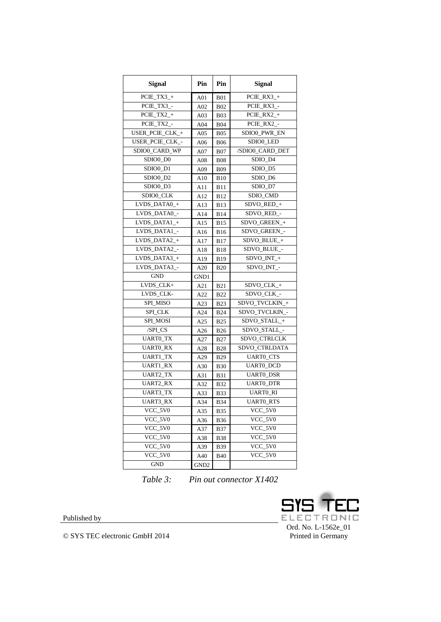| <b>Signal</b>   | Pin             | Pin             | <b>Signal</b>            |  |
|-----------------|-----------------|-----------------|--------------------------|--|
| $PCIE_TX3_+$    | A01             | <b>B01</b>      | $PCE_RX3_+$              |  |
| PCIE TX3 -      | A02             | <b>B02</b>      | PCIE RX3 -               |  |
| $PCE_TX2_+$     | A03             | <b>B03</b>      | $P CIE\_RX2$ +           |  |
| PCIE_TX2_-      | A <sub>04</sub> | <b>B04</b>      | PCIE_RX2_-               |  |
| USER_PCIE_CLK_+ | A05             | <b>B05</b>      | SDIO0_PWR_EN             |  |
| USER_PCIE_CLK_- | A06             | <b>B06</b>      | SDIO0_LED                |  |
| SDIO0 CARD WP   | A07             | <b>B07</b>      | /SDIO0 CARD DET          |  |
| SDIO0_D0        | A08             | <b>B08</b>      | SDIO_D4                  |  |
| SDIO0_D1        | A09             | <b>B09</b>      | SDIO_D5                  |  |
| SDIO0_D2        | A10             | <b>B</b> 10     | SDIO_D6                  |  |
| SDIO0 D3        | A11             | <b>B</b> 11     | SDIO_D7                  |  |
| SDIO0_CLK       | A12             | <b>B12</b>      | SDIO_CMD                 |  |
| LVDS_DATA0_+    | A13             | <b>B</b> 13     | SDVO_RED_+               |  |
| LVDS_DATA0_-    | A14             | B <sub>14</sub> | SDVO_RED_-               |  |
| LVDS_DATA1_+    | A15             | <b>B15</b>      | SDVO GREEN +             |  |
| $LVDS_DATAI_$   | A16             | <b>B16</b>      | SDVO_GREEN_-             |  |
| LVDS_DATA2_+    | A17             | <b>B17</b>      | SDVO_BLUE_+              |  |
| LVDS_DATA2_-    | A18             | <b>B18</b>      | SDVO_BLUE_-              |  |
| LVDS_DATA3_+    | A19             | <b>B19</b>      | ${\rm SDVO\_INT\_+}$     |  |
| LVDS_DATA3_-    | A20             | <b>B20</b>      | SDVO INT -               |  |
| <b>GND</b>      | GND1            |                 |                          |  |
| LVDS CLK+       | A21             | <b>B21</b>      | SDVO_CLK_+               |  |
| LVDS_CLK-       | A22             | <b>B22</b>      | SDVO_CLK_-               |  |
| SPI_MISO        | A23             | <b>B23</b>      | SDVO_TVCLKIN_+           |  |
| <b>SPI_CLK</b>  | A24             | <b>B24</b>      | SDVO_TVCLKIN_-           |  |
| SPI_MOSI        | A25             | <b>B25</b>      | SDVO_STALL_+             |  |
| /SPI_CS         | A26             | <b>B26</b>      | SDVO_STALL_-             |  |
| UARTO_TX        | A27             | <b>B27</b>      | SDVO_CTRLCLK             |  |
| <b>UARTO_RX</b> | A28             | <b>B28</b>      | SDVO_CTRLDATA            |  |
| <b>UART1_TX</b> | A29             | <b>B29</b>      | <b>UARTO_CTS</b>         |  |
| <b>UART1_RX</b> | A30             | <b>B30</b>      | <b>UARTO_DCD</b>         |  |
| <b>UART2_TX</b> | A31             | <b>B31</b>      | <b>UARTO DSR</b>         |  |
| <b>UART2_RX</b> | A32             | <b>B32</b>      | UARTO_DTR                |  |
| <b>UART3_TX</b> | A33             | <b>B33</b>      | <b>UARTO_RI</b>          |  |
| UART3 RX        | A34             | <b>B34</b>      | <b>UARTO RTS</b>         |  |
| $VCC_5V0$       | A35             | <b>B35</b>      | VCC_5V0                  |  |
| $VCC_5V0$       | A36             | <b>B36</b>      | VCC_5V0                  |  |
| VCC_5V0         | A37             | <b>B37</b>      | VCC_5V0                  |  |
| VCC_5V0         | A38             | <b>B38</b>      | $VCC_5V0$                |  |
| $VCC_5V0$       | A39             | <b>B39</b>      | $VCC$ <sub>_5</sub> $V0$ |  |
| VCC_5V0         | A40             | <b>B</b> 40     | $VCC_5V0$                |  |
| <b>GND</b>      | GND2            |                 |                          |  |

*Table 3: Pin out connector X1402*

<span id="page-17-0"></span>

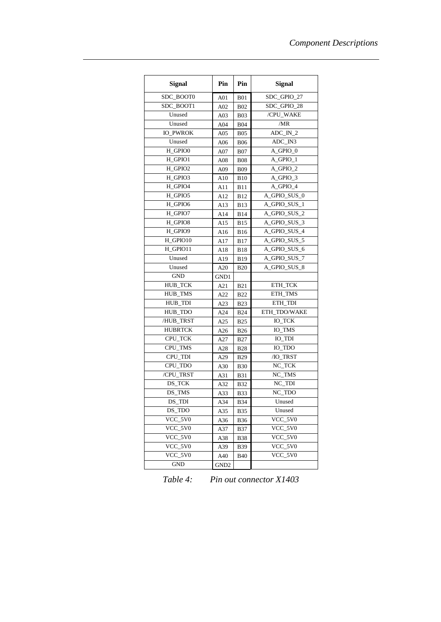| <b>Signal</b>            | Pin              | Pin        | <b>Signal</b> |  |
|--------------------------|------------------|------------|---------------|--|
| SDC BOOT0                | A <sub>01</sub>  | <b>B01</b> | SDC GPIO 27   |  |
| SDC BOOT1                | A02              | <b>B02</b> | SDC GPIO 28   |  |
| Unused                   | A <sub>03</sub>  | <b>B03</b> | /CPU WAKE     |  |
| Unused                   | A04              | <b>B04</b> | /MR           |  |
| <b>IO_PWROK</b>          | A05              | <b>B05</b> | ADC IN 2      |  |
| Unused                   | A06              | <b>B06</b> | ADC_IN3       |  |
| H GPIO0                  | A07              | <b>B07</b> | A_GPIO_0      |  |
| H GPIO1                  | A08              | <b>B08</b> | A GPIO 1      |  |
| H_GPIO2                  | A09              | <b>B09</b> | A GPIO 2      |  |
| H_GPIO3                  | A10              | <b>B10</b> | A_GPIO_3      |  |
| H_GPIO4                  | A11              | <b>B11</b> | A_GPIO_4      |  |
| H_GPIO5                  | A12              | <b>B12</b> | A_GPIO_SUS_0  |  |
| H_GPIO6                  | A13              | <b>B13</b> | A_GPIO_SUS_1  |  |
| H_GPIO7                  | A14              | <b>B14</b> | A_GPIO_SUS_2  |  |
| H_GPIO8                  | A15              | <b>B15</b> | A_GPIO_SUS_3  |  |
| H_GPIO9                  | A16              | <b>B16</b> | A_GPIO_SUS_4  |  |
| H GPIO10                 | A17              | <b>B17</b> | A_GPIO_SUS_5  |  |
| H GPIO11                 | A18              | <b>B18</b> | A_GPIO_SUS_6  |  |
| Unused                   | A19              | <b>B19</b> | A_GPIO_SUS_7  |  |
| Unused                   | A20              | <b>B20</b> | A_GPIO_SUS_8  |  |
| <b>GND</b>               | GND1             |            |               |  |
| <b>HUB TCK</b>           | A21              | <b>B21</b> | ETH TCK       |  |
| HUB_TMS                  | A22              | <b>B22</b> | ETH TMS       |  |
| HUB_TDI                  | A23              | <b>B23</b> | ETH_TDI       |  |
| HUB TDO                  | A24              | <b>B24</b> | ETH TDO/WAKE  |  |
| /HUB TRST                | A25              | <b>B25</b> | <b>IO TCK</b> |  |
| <b>HUBRTCK</b>           | A26              | <b>B26</b> | IO TMS        |  |
| CPU_TCK                  | A27              | <b>B27</b> | <b>IO_TDI</b> |  |
| CPU_TMS                  | A28              | <b>B28</b> | IO_TDO        |  |
| CPU_TDI                  | A29              | <b>B29</b> | /IO_TRST      |  |
| CPU_TDO                  | A30              | <b>B30</b> | NC_TCK        |  |
| /CPU_TRST                | A31              | <b>B31</b> | NC TMS        |  |
| DS_TCK                   | A32              | <b>B32</b> | NC_TDI        |  |
| DS_TMS                   | A33              | <b>B33</b> | NC_TDO        |  |
| DS TDI                   | A34              | <b>B34</b> | Unused        |  |
| DS TDO                   | A35              | <b>B35</b> | Unused        |  |
| $VCC$ <sub>_5</sub> $V0$ | A36              | <b>B36</b> | VCC 5V0       |  |
| VCC 5V0                  | A37              | B37        | VCC 5V0       |  |
| $VCC_5V0$                | A38              | B38        | VCC_5V0       |  |
| VCC_5V0                  | A39              | <b>B39</b> | VCC_5V0       |  |
| VCC_5V0                  | A40              | <b>B40</b> | VCC 5V0       |  |
| <b>GND</b>               | GND <sub>2</sub> |            |               |  |

<span id="page-18-0"></span>*Table 4: Pin out connector X1403*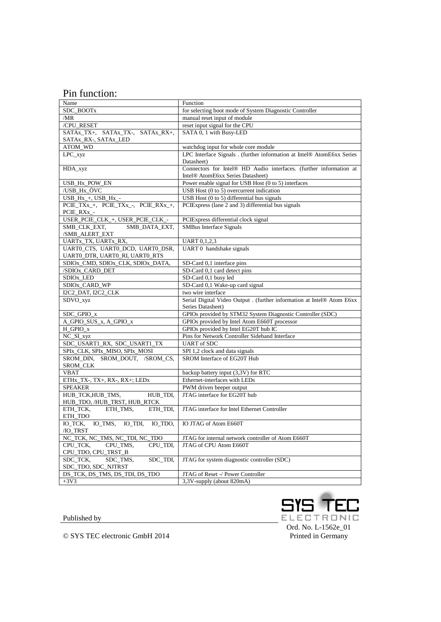#### Pin function:

| Name                                                                | Function                                                                                                   |  |  |  |
|---------------------------------------------------------------------|------------------------------------------------------------------------------------------------------------|--|--|--|
| SDC_BOOTx                                                           | for selecting boot mode of System Diagnostic Controller                                                    |  |  |  |
| /MR                                                                 | manual reset input of module                                                                               |  |  |  |
| /CPU_RESET                                                          | reset input signal for the CPU                                                                             |  |  |  |
| SATAx_TX+, SATAx_TX-, SATAx_RX+,                                    | SATA 0, 1 with Busy-LED                                                                                    |  |  |  |
| SATAx_RX-, SATAx_LED                                                |                                                                                                            |  |  |  |
| ATOM_WD                                                             | watchdog input for whole core module                                                                       |  |  |  |
| LPC_xyz                                                             | LPC Interface Signals . (further information at Intel® AtomE6xx Series                                     |  |  |  |
|                                                                     | Datasheet)                                                                                                 |  |  |  |
| HDA_xyz                                                             | Connectors for Intel® HD Audio interfaces. (further information at                                         |  |  |  |
|                                                                     | Intel <sup>®</sup> AtomE6xx Series Datasheet)                                                              |  |  |  |
| USB_Hx_POW_EN                                                       | Power enable signal for USB Host (0 to 5) interfaces                                                       |  |  |  |
| /USB_Hx_ÖVC                                                         | USB Host (0 to 5) overcurrent indication                                                                   |  |  |  |
| $\overline{USB_{HK+}, \overline{USB}_{HK-}}$                        | USB Host (0 to 5) differential bus signals                                                                 |  |  |  |
| PCIE_TXx_+, PCIE_TXx_-, PCIE_RXx_+,                                 | PCIExpress (lane 2 and 3) differential bus signals                                                         |  |  |  |
| PCIE_RXx_-                                                          |                                                                                                            |  |  |  |
| USER_PCIE_CLK_+, USER_PCIE_CLK_-                                    | PCIExpress differential clock signal                                                                       |  |  |  |
| SMB_CLK_EXT,<br>SMB_DATA_EXT,                                       | <b>SMBus Interface Signals</b>                                                                             |  |  |  |
| /SMB_ALERT_EXT                                                      |                                                                                                            |  |  |  |
| UARTx_TX, UARTx_RX,                                                 | <b>UART</b> 0,1,2,3                                                                                        |  |  |  |
| UARTO_CTS, UARTO_DCD, UARTO_DSR,                                    | UART 0 handshake signals                                                                                   |  |  |  |
|                                                                     |                                                                                                            |  |  |  |
| UARTO_DTR, UARTO_RI, UARTO_RTS<br>SDIOx_CMD, SDIOx_CLK, SDIOx_DATA, |                                                                                                            |  |  |  |
|                                                                     | SD-Card 0,1 interface pins                                                                                 |  |  |  |
| /SDIOx_CARD_DET                                                     | SD-Card 0,1 card detect pins                                                                               |  |  |  |
| SDIO <sub>x_LED</sub>                                               | SD-Card 0,1 busy led                                                                                       |  |  |  |
| SDIOx_CARD_WP                                                       | SD-Card 0,1 Wake-up card signal                                                                            |  |  |  |
| I2C2_DAT, I2C2_CLK                                                  | two wire interface                                                                                         |  |  |  |
| SDVO_xyz                                                            | Serial Digital Video Output . (further information at Intel® Atom E6xx                                     |  |  |  |
|                                                                     | Series Datasheet)                                                                                          |  |  |  |
| SDC_GPIO_x                                                          | GPIOs provided by STM32 System Diagnostic Controller (SDC)<br>GPIOs provided by Intel Atom E660T processor |  |  |  |
| A_GPIO_SUS_x, A_GPIO_x                                              |                                                                                                            |  |  |  |
| $H_GPIO_x$                                                          | GPIOs provided by Intel EG20T hub IC                                                                       |  |  |  |
| NC_SI_xyz                                                           | Pins for Network Controller Sideband Interface                                                             |  |  |  |
| SDC_USART1_RX, SDC_USART1_TX                                        | <b>UART</b> of SDC                                                                                         |  |  |  |
| SPIx_CLK, SPIx_MISO, SPIx_MOSI                                      | SPI 1,2 clock and data signals                                                                             |  |  |  |
| SROM_DIN, SROM_DOUT, /SROM_CS,                                      | SROM Interface of EG20T Hub                                                                                |  |  |  |
| SROM_CLK                                                            |                                                                                                            |  |  |  |
| <b>VBAT</b>                                                         | backup battery input (3,3V) for RTC                                                                        |  |  |  |
| ETHx_TX-, TX+, RX-, RX+; LEDx                                       | Ethernet-interfaces with LEDs                                                                              |  |  |  |
| <b>SPEAKER</b>                                                      | PWM driven beeper output                                                                                   |  |  |  |
| HUB_TCK,HUB_TMS,<br>HUB_TDI,                                        | JTAG interface for EG20T hub                                                                               |  |  |  |
| HUB_TDO, /HUB_TRST, HUB_RTCK                                        |                                                                                                            |  |  |  |
| ETH_TDI,<br>ETH_TCK,<br>ETH TMS,                                    | JTAG interface for Intel Ethernet Controller                                                               |  |  |  |
| ETH_TDO                                                             |                                                                                                            |  |  |  |
| IO_TCK,<br>IO TMS,<br>IO TDI.<br>IO TDO,                            | IO JTAG of Atom E660T                                                                                      |  |  |  |
| /IO_TRST                                                            |                                                                                                            |  |  |  |
| NC_TCK, NC_TMS, NC_TDI, NC_TDO                                      | JTAG for internal network controller of Atom E660T                                                         |  |  |  |
| CPU_TCK,<br>CPU_TMS,<br>CPU_TDI,                                    | JTAG of CPU Atom E660T                                                                                     |  |  |  |
| CPU_TDO, CPU_TRST_B                                                 |                                                                                                            |  |  |  |
| SDC_TCK,<br>SDC TMS,<br>SDC TDI,                                    | JTAG for system diagnostic controller (SDC)                                                                |  |  |  |
| SDC_TDO, SDC_NJTRST                                                 |                                                                                                            |  |  |  |
| DS_TCK, DS_TMS, DS_TDI, DS_TDO                                      | JTAG of Reset -/ Power Controller                                                                          |  |  |  |
| $+3V3$                                                              | 3,3V-supply (about 820mA)                                                                                  |  |  |  |



Published by

© SYS TEC electronic GmbH 2014

Printed in Germany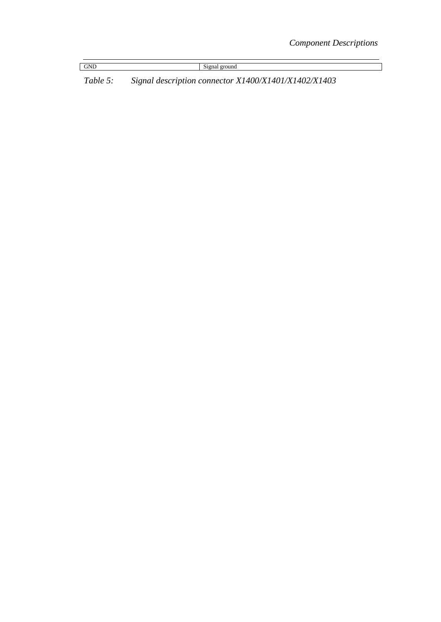|--|

Signal ground

*Table 5: Signal description connector X1400/X1401/X1402/X1403*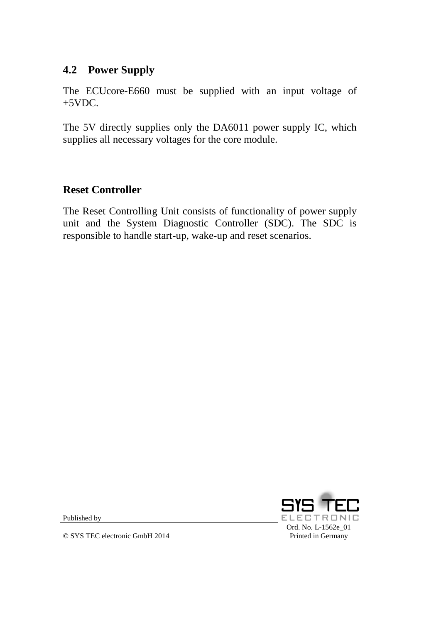## **4.2 Power Supply**

The ECUcore-E660 must be supplied with an input voltage of  $+5VDC$ .

The 5V directly supplies only the DA6011 power supply IC, which supplies all necessary voltages for the core module.

#### **Reset Controller**

The Reset Controlling Unit consists of functionality of power supply unit and the System Diagnostic Controller (SDC). The SDC is responsible to handle start-up, wake-up and reset scenarios.



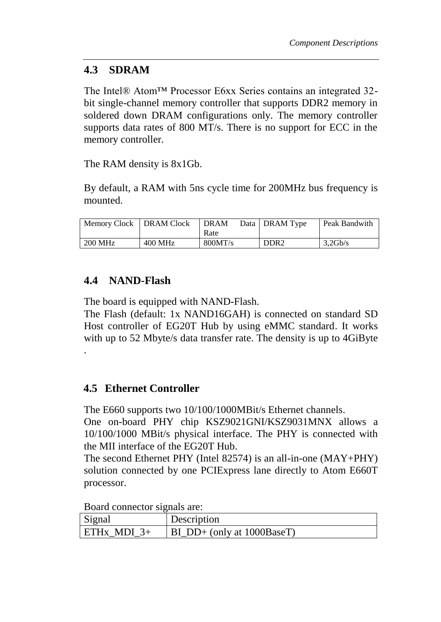# **4.3 SDRAM**

The Intel® Atom™ Processor E6xx Series contains an integrated 32 bit single-channel memory controller that supports DDR2 memory in soldered down DRAM configurations only. The memory controller supports data rates of 800 MT/s. There is no support for ECC in the memory controller.

The RAM density is 8x1Gb.

By default, a RAM with 5ns cycle time for 200MHz bus frequency is mounted.

| Memory Clock   DRAM Clock |           | l DRAM<br>Rate | Data   DRAM Type | Peak Bandwith |
|---------------------------|-----------|----------------|------------------|---------------|
| 200 MHz                   | $400$ MHz | 800MT/s        | DDR <sub>2</sub> | 3,2Gb/s       |

# **4.4 NAND-Flash**

The board is equipped with NAND-Flash.

The Flash (default: 1x NAND16GAH) is connected on standard SD Host controller of EG20T Hub by using eMMC standard. It works with up to 52 Mbyte/s data transfer rate. The density is up to 4GiByte .

# **4.5 Ethernet Controller**

The E660 supports two 10/100/1000MBit/s Ethernet channels.

One on-board PHY chip KSZ9021GNI/KSZ9031MNX allows a 10/100/1000 MBit/s physical interface. The PHY is connected with the MII interface of the EG20T Hub.

The second Ethernet PHY (Intel 82574) is an all-in-one (MAY+PHY) solution connected by one PCIExpress lane directly to Atom E660T processor.

Board connector signals are:

| Signal        | Description                |  |
|---------------|----------------------------|--|
| $ETHx$ MDI 3+ | BI DD+ (only at 1000BaseT) |  |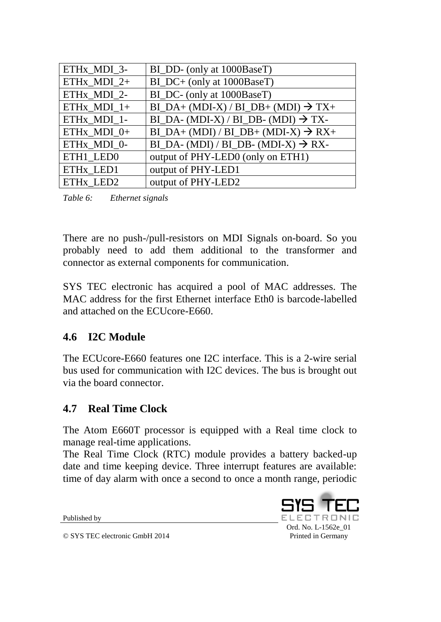| ETHx MDI 3-   | BI_DD- (only at 1000BaseT)                              |
|---------------|---------------------------------------------------------|
| ETHx_MDI_2+   | BI_DC+ (only at 1000BaseT)                              |
| ETHx_MDI_2-   | BI_DC- (only at 1000BaseT)                              |
| ETHx $MDI_1+$ | $BI_DA + (MDI-X) / BI_DB + (MDI) \rightarrow TX+$       |
| ETHx MDI 1-   | $BI\_DA$ - (MDI-X) / BI_DB- (MDI) $\rightarrow$ TX-     |
| ETHx_MDI_0+   | $BI_DA + (MDI) / BI_DB + (MDI-X) \rightarrow RX+$       |
| ETHx_MDI_0-   | $BI\_DA$ - (MDI) / $BI\_DB$ - (MDI-X) $\rightarrow$ RX- |
| ETH1_LED0     | output of PHY-LED0 (only on ETH1)                       |
| ETHx LED1     | output of PHY-LED1                                      |
| ETHx LED2     | output of PHY-LED2                                      |

*Table 6: Ethernet signals*

There are no push-/pull-resistors on MDI Signals on-board. So you probably need to add them additional to the transformer and connector as external components for communication.

SYS TEC electronic has acquired a pool of MAC addresses. The MAC address for the first Ethernet interface Eth0 is barcode-labelled and attached on the ECUcore-E660.

# **4.6 I2C Module**

The ECUcore-E660 features one I2C interface. This is a 2-wire serial bus used for communication with I2C devices. The bus is brought out via the board connector.

# **4.7 Real Time Clock**

The Atom E660T processor is equipped with a Real time clock to manage real-time applications.

The Real Time Clock (RTC) module provides a battery backed-up date and time keeping device. Three interrupt features are available: time of day alarm with once a second to once a month range, periodic

Published by

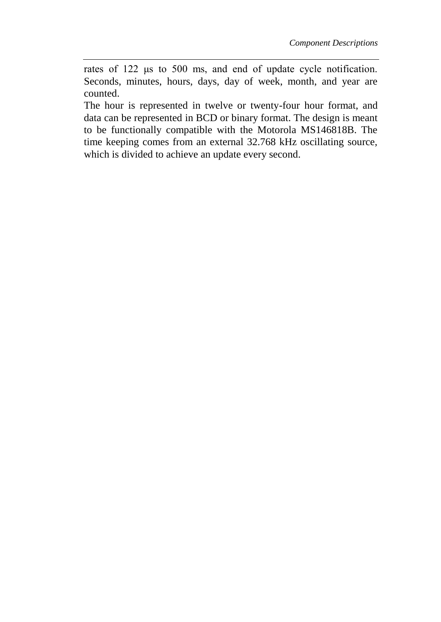rates of 122 μs to 500 ms, and end of update cycle notification. Seconds, minutes, hours, days, day of week, month, and year are counted.

The hour is represented in twelve or twenty-four hour format, and data can be represented in BCD or binary format. The design is meant to be functionally compatible with the Motorola MS146818B. The time keeping comes from an external 32.768 kHz oscillating source, which is divided to achieve an update every second.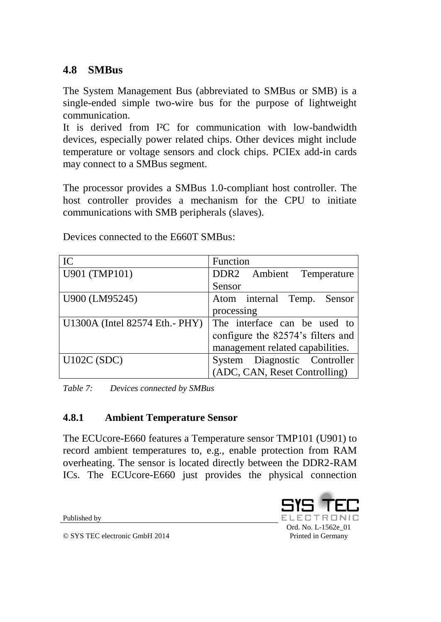# **4.8 SMBus**

The System Management Bus (abbreviated to SMBus or SMB) is a single-ended simple two-wire bus for the purpose of lightweight communication.

It is derived from I²C for communication with low-bandwidth devices, especially power related chips. Other devices might include temperature or voltage sensors and clock chips. PCIEx add-in cards may connect to a SMBus segment.

The processor provides a SMBus 1.0-compliant host controller. The host controller provides a mechanism for the CPU to initiate communications with SMB peripherals (slaves).

| IC                              | Function                          |
|---------------------------------|-----------------------------------|
| U901 (TMP101)                   | DDR2 Ambient Temperature          |
|                                 | Sensor                            |
| U900 (LM95245)                  | Atom internal Temp. Sensor        |
|                                 | processing                        |
| U1300A (Intel 82574 Eth. - PHY) | The interface can be used to      |
|                                 | configure the 82574's filters and |
|                                 | management related capabilities.  |
| U102C(SDC)                      | System Diagnostic Controller      |
|                                 | (ADC, CAN, Reset Controlling)     |

Devices connected to the E660T SMBus:

*Table 7: Devices connected by SMBus*

#### **4.8.1 Ambient Temperature Sensor**

The ECUcore-E660 features a Temperature sensor TMP101 (U901) to record ambient temperatures to, e.g., enable protection from RAM overheating. The sensor is located directly between the DDR2-RAM ICs. The ECUcore-E660 just provides the physical connection

Published by

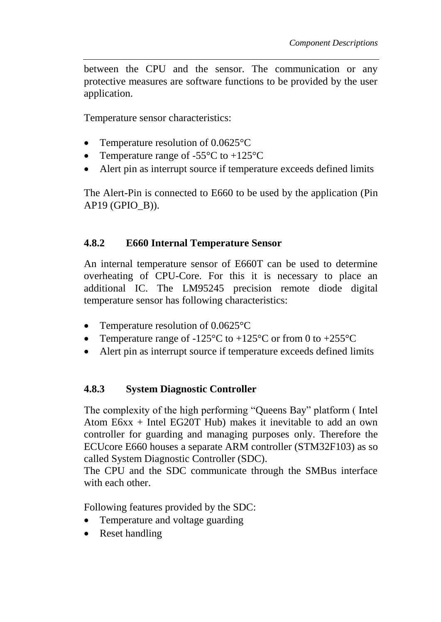between the CPU and the sensor. The communication or any protective measures are software functions to be provided by the user application.

Temperature sensor characteristics:

- Temperature resolution of 0.0625 °C
- Temperature range of  $-55^{\circ}$ C to  $+125^{\circ}$ C
- Alert pin as interrupt source if temperature exceeds defined limits

The Alert-Pin is connected to E660 to be used by the application (Pin AP19 (GPIO\_B)).

#### **4.8.2 E660 Internal Temperature Sensor**

An internal temperature sensor of E660T can be used to determine overheating of CPU-Core. For this it is necessary to place an additional IC. The LM95245 precision remote diode digital temperature sensor has following characteristics:

- Temperature resolution of 0.0625 °C
- Temperature range of -125 $\degree$ C to +125 $\degree$ C or from 0 to +255 $\degree$ C
- Alert pin as interrupt source if temperature exceeds defined limits

#### **4.8.3 System Diagnostic Controller**

The complexity of the high performing "Queens Bay" platform ( Intel Atom E6xx + Intel EG20T Hub) makes it inevitable to add an own controller for guarding and managing purposes only. Therefore the ECUcore E660 houses a separate ARM controller (STM32F103) as so called System Diagnostic Controller (SDC).

The CPU and the SDC communicate through the SMBus interface with each other.

Following features provided by the SDC:

- Temperature and voltage guarding
- Reset handling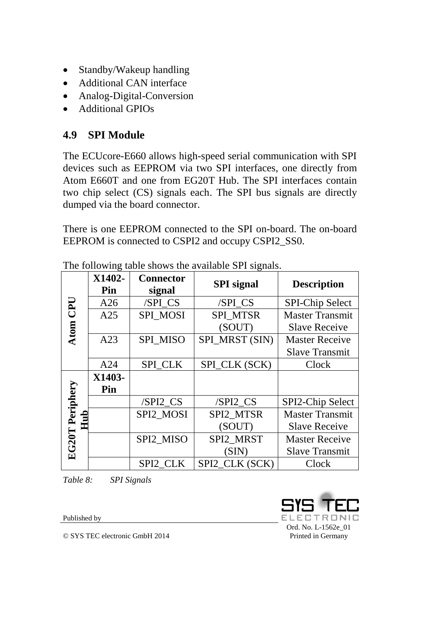- Standby/Wakeup handling
- Additional CAN interface
- Analog-Digital-Conversion
- Additional GPIOs

# **4.9 SPI Module**

The ECUcore-E660 allows high-speed serial communication with SPI devices such as EEPROM via two SPI interfaces, one directly from Atom E660T and one from EG20T Hub. The SPI interfaces contain two chip select (CS) signals each. The SPI bus signals are directly dumped via the board connector.

There is one EEPROM connected to the SPI on-board. The on-board EEPROM is connected to CSPI2 and occupy CSPI2\_SS0.

|                 | X1402-<br>Pin | <b>Connector</b><br>signal | <b>SPI</b> signal | <b>Description</b>     |
|-----------------|---------------|----------------------------|-------------------|------------------------|
| CPU             | A26           | /SPI_CS                    | /SPI_CS           | <b>SPI-Chip Select</b> |
|                 | A25           | <b>SPI MOSI</b>            | <b>SPI MTSR</b>   | <b>Master Transmit</b> |
| Atom            |               |                            | (SOUT)            | <b>Slave Receive</b>   |
|                 | A23           | <b>SPI MISO</b>            | SPI MRST (SIN)    | <b>Master Receive</b>  |
|                 |               |                            |                   | <b>Slave Transmit</b>  |
|                 | A24           | <b>SPI_CLK</b>             | SPI_CLK (SCK)     | Clock                  |
|                 | X1403-        |                            |                   |                        |
|                 | Pin           |                            |                   |                        |
|                 |               | /SPI2_CS                   | /SPI2 CS          | SPI2-Chip Select       |
|                 |               | SPI2 MOSI                  | SPI2 MTSR         | <b>Master Transmit</b> |
|                 |               |                            | (SOUT)            | <b>Slave Receive</b>   |
|                 |               | SPI2 MISO                  | SPI2 MRST         | <b>Master Receive</b>  |
| EG20T Periphery |               |                            | (SIN)             | <b>Slave Transmit</b>  |
|                 |               | SPI2 CLK                   | SPI2 CLK (SCK)    | Clock                  |

The following table shows the available SPI signals.

*Table 8: SPI Signals*

Published by

ΕL EЕ Ord. No. [L-1562e\\_01](#page-0-0) Printed in Germany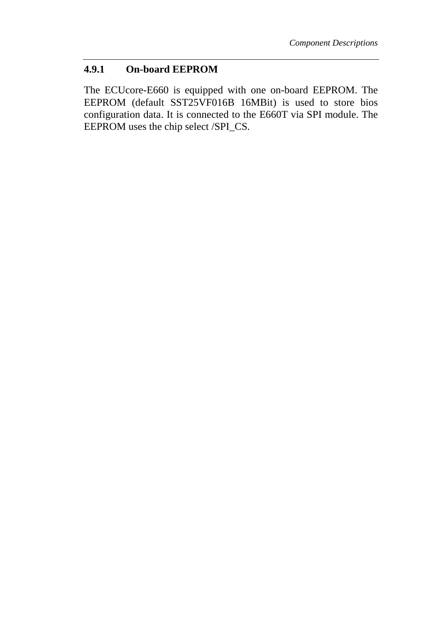#### **4.9.1 On-board EEPROM**

The ECUcore-E660 is equipped with one on-board EEPROM. The EEPROM (default SST25VF016B 16MBit) is used to store bios configuration data. It is connected to the E660T via SPI module. The EEPROM uses the chip select /SPI\_CS.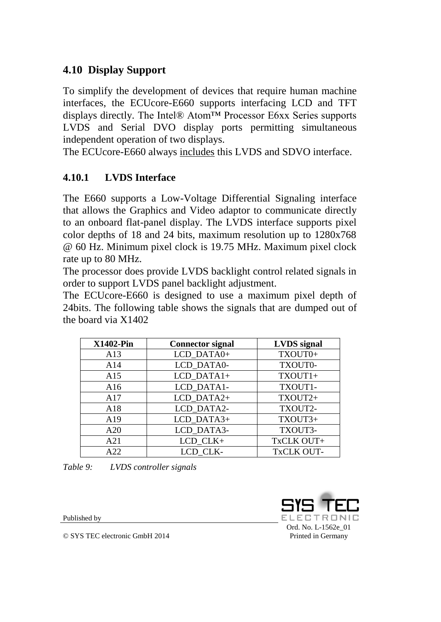# **4.10 Display Support**

To simplify the development of devices that require human machine interfaces, the ECUcore-E660 supports interfacing LCD and TFT displays directly. The Intel® Atom™ Processor E6xx Series supports LVDS and Serial DVO display ports permitting simultaneous independent operation of two displays.

The ECUcore-E660 always includes this LVDS and SDVO interface.

# **4.10.1 LVDS Interface**

The E660 supports a Low-Voltage Differential Signaling interface that allows the Graphics and Video adaptor to communicate directly to an onboard flat-panel display. The LVDS interface supports pixel color depths of 18 and 24 bits, maximum resolution up to 1280x768 @ 60 Hz. Minimum pixel clock is 19.75 MHz. Maximum pixel clock rate up to 80 MHz.

The processor does provide LVDS backlight control related signals in order to support LVDS panel backlight adjustment.

The ECUcore-E660 is designed to use a maximum pixel depth of 24bits. The following table shows the signals that are dumped out of the board via X1402

| <b>X1402-Pin</b> | <b>Connector signal</b> | <b>LVDS</b> signal |
|------------------|-------------------------|--------------------|
| A13              | LCD_DATA0+              | TXOUT0+            |
| A14              | LCD DATA0-              | TXOUT0-            |
| A15              | LCD DATA1+              | TXOUT1+            |
| A16              | LCD_DATA1-              | TXOUT1-            |
| A17              | LCD DATA2+              | TXOUT2+            |
| A18              | LCD_DATA2-              | TXOUT2-            |
| A19              | LCD_DATA3+              | TXOUT3+            |
| A20              | LCD DATA3-              | TXOUT3-            |
| A21              | LCD_CLK+                | TxCLK OUT+         |
| A22              | LCD CLK-                | TxCLK OUT-         |

*Table 9: LVDS controller signals*

Published by

Ord. No. [L-1562e\\_01](#page-0-0) Printed in Germany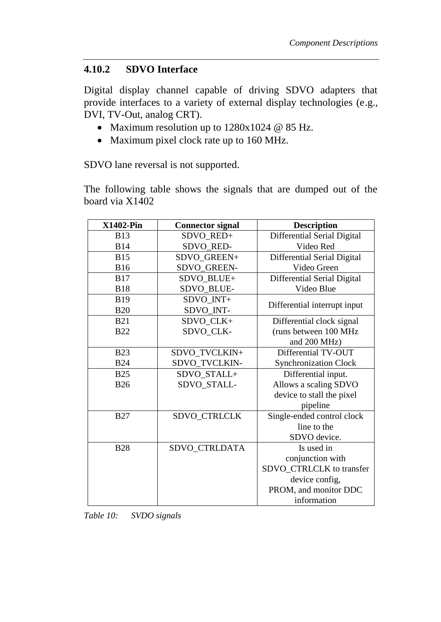#### **4.10.2 SDVO Interface**

Digital display channel capable of driving SDVO adapters that provide interfaces to a variety of external display technologies (e.g., DVI, TV-Out, analog CRT).

- Maximum resolution up to  $1280x1024 \t@ 85 Hz$ .
- Maximum pixel clock rate up to 160 MHz.

SDVO lane reversal is not supported.

The following table shows the signals that are dumped out of the board via X1402

| <b>X1402-Pin</b> | <b>Connector signal</b> | <b>Description</b>           |
|------------------|-------------------------|------------------------------|
| <b>B13</b>       | SDVO_RED+               | Differential Serial Digital  |
| <b>B14</b>       | SDVO_RED-               | Video Red                    |
| <b>B15</b>       | SDVO_GREEN+             | Differential Serial Digital  |
| <b>B16</b>       | SDVO_GREEN-             | Video Green                  |
| <b>B17</b>       | SDVO_BLUE+              | Differential Serial Digital  |
| <b>B18</b>       | SDVO_BLUE-              | Video Blue                   |
| <b>B19</b>       | SDVO_INT+               |                              |
| <b>B20</b>       | SDVO_INT-               | Differential interrupt input |
| <b>B21</b>       | SDVO_CLK+               | Differential clock signal    |
| <b>B22</b>       | SDVO_CLK-               | (runs between 100 MHz        |
|                  |                         | and 200 MHz)                 |
| <b>B23</b>       | SDVO_TVCLKIN+           | Differential TV-OUT          |
| <b>B24</b>       | SDVO_TVCLKIN-           | <b>Synchronization Clock</b> |
| <b>B25</b>       | SDVO_STALL+             | Differential input.          |
| <b>B26</b>       | SDVO_STALL-             | Allows a scaling SDVO        |
|                  |                         | device to stall the pixel    |
|                  |                         | pipeline                     |
| <b>B27</b>       | SDVO_CTRLCLK            | Single-ended control clock   |
|                  |                         | line to the                  |
|                  |                         | SDVO device.                 |
| <b>B28</b>       | SDVO_CTRLDATA           | Is used in                   |
|                  |                         | conjunction with             |
|                  |                         | SDVO_CTRLCLK to transfer     |
|                  |                         | device config,               |
|                  |                         | PROM, and monitor DDC        |
|                  |                         | information                  |

| Table 10: | SVDO signals |
|-----------|--------------|
|-----------|--------------|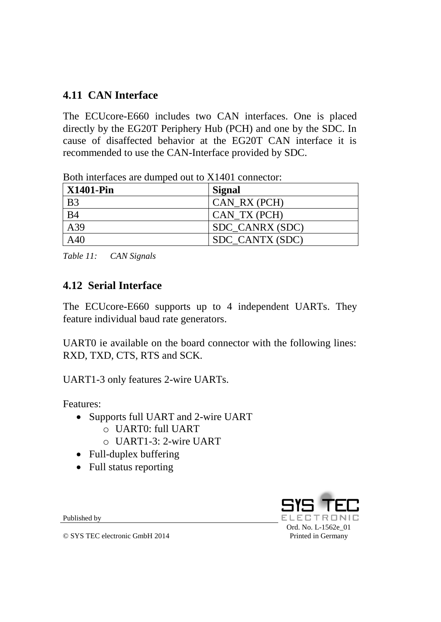# **4.11 CAN Interface**

The ECUcore-E660 includes two CAN interfaces. One is placed directly by the EG20T Periphery Hub (PCH) and one by the SDC. In cause of disaffected behavior at the EG20T CAN interface it is recommended to use the CAN-Interface provided by SDC.

| X1401-Pin      | Signal          |
|----------------|-----------------|
| B <sub>3</sub> | $CAN_RX(PCH)$   |
| <b>B4</b>      | CAN TX (PCH)    |
| A39            | SDC_CANRX (SDC) |
| A40            | SDC CANTX (SDC) |

Both interfaces are dumped out to X1401 connector:

*Table 11: CAN Signals*

# **4.12 Serial Interface**

The ECUcore-E660 supports up to 4 independent UARTs. They feature individual baud rate generators.

UART0 ie available on the board connector with the following lines: RXD, TXD, CTS, RTS and SCK.

UART1-3 only features 2-wire UARTs.

Features:

- Supports full UART and 2-wire UART
	- o UART0: full UART
	- o UART1-3: 2-wire UART
- Full-duplex buffering
- Full status reporting

Published by

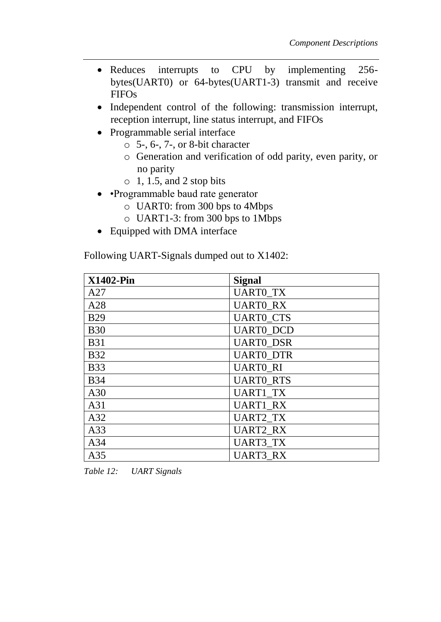- Reduces interrupts to CPU by implementing 256bytes(UART0) or 64-bytes(UART1-3) transmit and receive FIFOs
- Independent control of the following: transmission interrupt, reception interrupt, line status interrupt, and FIFOs
- Programmable serial interface
	- $\circ$  5-, 6-, 7-, or 8-bit character
	- o Generation and verification of odd parity, even parity, or no parity
	- $\circ$  1, 1.5, and 2 stop bits
- •Programmable baud rate generator
	- o UART0: from 300 bps to 4Mbps
	- o UART1-3: from 300 bps to 1Mbps
- Equipped with DMA interface

Following UART-Signals dumped out to X1402:

| <b>X1402-Pin</b> | <b>Signal</b>    |
|------------------|------------------|
| A27              | <b>UARTO_TX</b>  |
| A28              | <b>UARTO_RX</b>  |
| <b>B29</b>       | <b>UARTO_CTS</b> |
| <b>B30</b>       | <b>UARTO_DCD</b> |
| <b>B31</b>       | <b>UARTO DSR</b> |
| <b>B32</b>       | <b>UARTO DTR</b> |
| <b>B33</b>       | <b>UARTO RI</b>  |
| <b>B34</b>       | <b>UARTO RTS</b> |
| A30              | <b>UART1_TX</b>  |
| A31              | <b>UART1_RX</b>  |
| A32              | <b>UART2_TX</b>  |
| A33              | <b>UART2_RX</b>  |
| A34              | <b>UART3_TX</b>  |
| A35              | <b>UART3 RX</b>  |

*Table 12: UART Signals*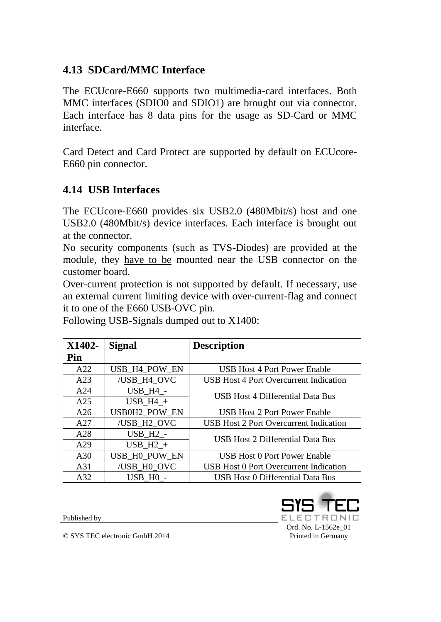## **4.13 SDCard/MMC Interface**

The ECUcore-E660 supports two multimedia-card interfaces. Both MMC interfaces (SDIO0 and SDIO1) are brought out via connector. Each interface has 8 data pins for the usage as SD-Card or MMC interface.

Card Detect and Card Protect are supported by default on ECUcore-E660 pin connector.

#### **4.14 USB Interfaces**

The ECUcore-E660 provides six USB2.0 (480Mbit/s) host and one USB2.0 (480Mbit/s) device interfaces. Each interface is brought out at the connector.

No security components (such as TVS-Diodes) are provided at the module, they have to be mounted near the USB connector on the customer board.

Over-current protection is not supported by default. If necessary, use an external current limiting device with over-current-flag and connect it to one of the E660 USB-OVC pin.

| X1402- | <b>Signal</b>        | <b>Description</b>                            |
|--------|----------------------|-----------------------------------------------|
| Pin    |                      |                                               |
| A22    | USB_H4_POW_EN        | <b>USB Host 4 Port Power Enable</b>           |
| A23    | /USB_H4_OVC          | USB Host 4 Port Overcurrent Indication        |
| A24    | $USB_H4$ -           | <b>USB Host 4 Differential Data Bus</b>       |
| A25    | $USB_H4_+$           |                                               |
| A26    | USB0H2_POW_EN        | <b>USB Host 2 Port Power Enable</b>           |
| A27    | /USB H2 OVC          | <b>USB Host 2 Port Overcurrent Indication</b> |
| A28    | $USB_H2$ -           | USB Host 2 Differential Data Bus              |
| A29    | $USB_H2_+$           |                                               |
| A30    | USB_H0_POW_EN        | <b>USB Host 0 Port Power Enable</b>           |
| A31    | /USB H0 OVC          | <b>USB Host 0 Port Overcurrent Indication</b> |
| A32    | USB H <sub>0</sub> - | <b>USB Host 0 Differential Data Bus</b>       |

Following USB-Signals dumped out to X1400:

Published by



Printed in Germany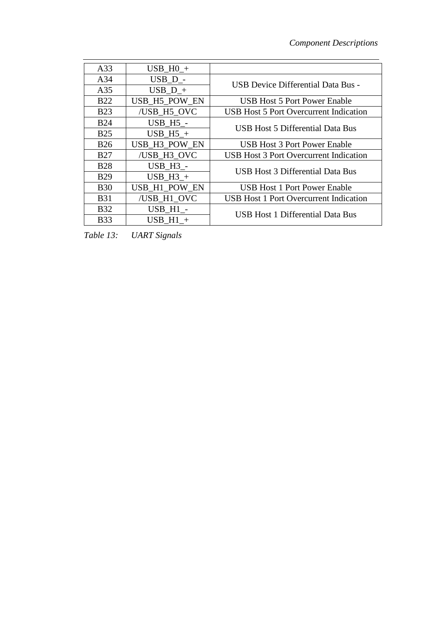| A33             | $USB$ HO $+$    |                                               |  |
|-----------------|-----------------|-----------------------------------------------|--|
| A <sub>34</sub> | $USB_D$ -       | <b>USB Device Differential Data Bus -</b>     |  |
| A35             | $USB$ D +       |                                               |  |
| <b>B22</b>      | USB_H5_POW_EN   | <b>USB Host 5 Port Power Enable</b>           |  |
| <b>B23</b>      | /USB H5 OVC     | <b>USB Host 5 Port Overcurrent Indication</b> |  |
| <b>B24</b>      | <b>USB_H5_-</b> | USB Host 5 Differential Data Bus              |  |
| <b>B25</b>      | USB H5 $+$      |                                               |  |
| <b>B26</b>      | USB_H3_POW_EN   | <b>USB Host 3 Port Power Enable</b>           |  |
| <b>B27</b>      | /USB_H3_OVC     | <b>USB Host 3 Port Overcurrent Indication</b> |  |
| <b>B28</b>      | <b>USB H3 -</b> | <b>USB Host 3 Differential Data Bus</b>       |  |
| <b>B29</b>      | USB $H3 +$      |                                               |  |
| <b>B30</b>      | USB_H1_POW_EN   | <b>USB Host 1 Port Power Enable</b>           |  |
| <b>B31</b>      | /USB H1 OVC     | <b>USB Host 1 Port Overcurrent Indication</b> |  |
| <b>B32</b>      | USB H1 -        | USB Host 1 Differential Data Bus              |  |
| <b>B33</b>      | USB $H1 +$      |                                               |  |

*Table 13: UART Signals*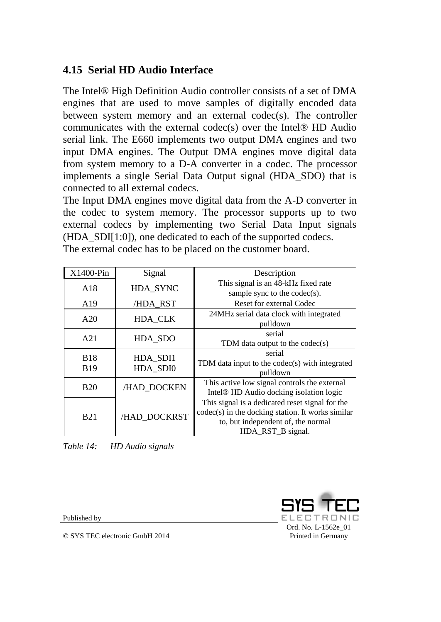# **4.15 Serial HD Audio Interface**

The Intel® High Definition Audio controller consists of a set of DMA engines that are used to move samples of digitally encoded data between system memory and an external codec(s). The controller communicates with the external codec(s) over the Intel® HD Audio serial link. The E660 implements two output DMA engines and two input DMA engines. The Output DMA engines move digital data from system memory to a D-A converter in a codec. The processor implements a single Serial Data Output signal (HDA\_SDO) that is connected to all external codecs.

The Input DMA engines move digital data from the A-D converter in the codec to system memory. The processor supports up to two external codecs by implementing two Serial Data Input signals (HDA\_SDI[1:0]), one dedicated to each of the supported codecs. The external codec has to be placed on the customer board.

| X1400-Pin                | Signal               | Description                                                                                                                                                       |
|--------------------------|----------------------|-------------------------------------------------------------------------------------------------------------------------------------------------------------------|
| A18                      | HDA SYNC             | This signal is an 48-kHz fixed rate<br>sample sync to the $codec(s)$ .                                                                                            |
| A19                      | /HDA RST             | <b>Reset for external Codec</b>                                                                                                                                   |
| A20                      | HDA_CLK              | 24MHz serial data clock with integrated<br>pulldown                                                                                                               |
| A21                      | HDA_SDO              | serial<br>TDM data output to the $codec(s)$                                                                                                                       |
| <b>B18</b><br><b>B19</b> | HDA_SDI1<br>HDA SDI0 | serial<br>TDM data input to the codec(s) with integrated<br>pulldown                                                                                              |
| <b>B20</b>               | /HAD DOCKEN          | This active low signal controls the external<br>Intel <sup>®</sup> HD Audio docking isolation logic                                                               |
| <b>B21</b>               | /HAD DOCKRST         | This signal is a dedicated reset signal for the<br>$codec(s)$ in the docking station. It works similar<br>to, but independent of, the normal<br>HDA RST B signal. |

*Table 14: HD Audio signals*

Published by

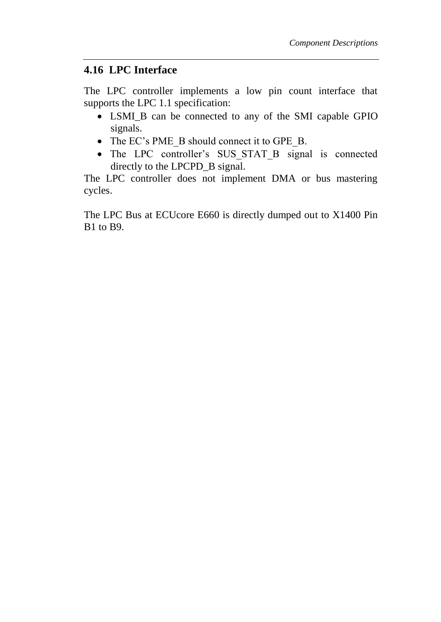#### **4.16 LPC Interface**

The LPC controller implements a low pin count interface that supports the LPC 1.1 specification:

- LSMI\_B can be connected to any of the SMI capable GPIO signals.
- The EC's PME\_B should connect it to GPE\_B.
- The LPC controller's SUS\_STAT\_B signal is connected directly to the LPCPD\_B signal.

The LPC controller does not implement DMA or bus mastering cycles.

The LPC Bus at ECUcore E660 is directly dumped out to X1400 Pin B1 to B9.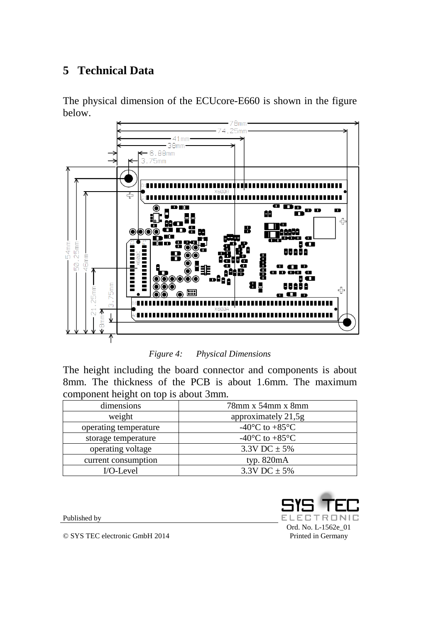# **5 Technical Data**

The physical dimension of the ECUcore-E660 is shown in the figure below.



*Figure 4: Physical Dimensions*

The height including the board connector and components is about 8mm. The thickness of the PCB is about 1.6mm. The maximum component height on top is about 3mm.

| dimensions            | $78$ mm x $54$ mm x $8$ mm                   |
|-----------------------|----------------------------------------------|
| weight                | approximately 21,5g                          |
| operating temperature | -40 $\rm{^{\circ}C}$ to +85 $\rm{^{\circ}C}$ |
| storage temperature   | -40 $\rm{^{\circ}C}$ to +85 $\rm{^{\circ}C}$ |
| operating voltage     | $3.3V$ DC $\pm$ 5%                           |
| current consumption   | typ. $820mA$                                 |
| I/O-Level             | $3.3V$ DC $\pm$ 5%                           |

Published by

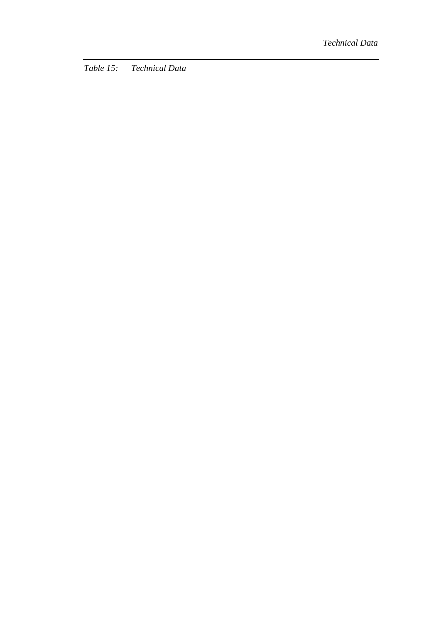*Table 15: Technical Data*